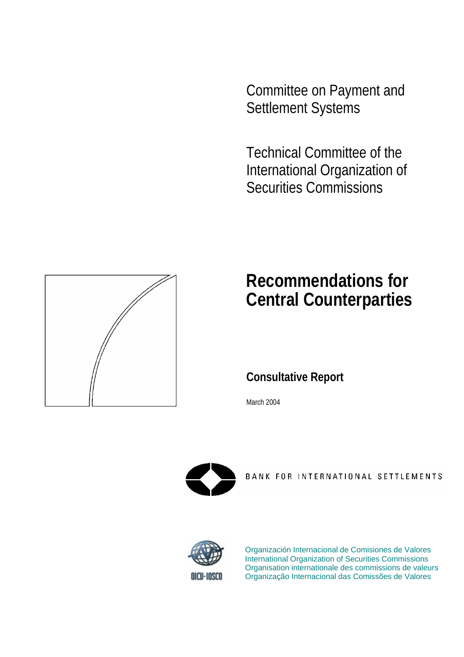Committee on Payment and Settlement Systems

Technical Committee of the International Organization of Securities Commissions



# **Recommendations for Central Counterparties**

**Consultative Report** 

March 2004



BANK FOR INTERNATIONAL SETTLEMENTS



Organización Internacional de Comisiones de Valores International Organization of Securities Commissions Organisation internationale des commissions de valeurs Organização Internacional das Comissões de Valores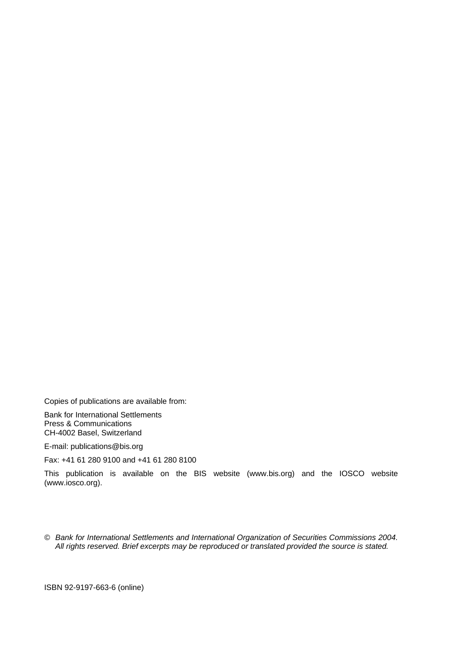Copies of publications are available from:

Bank for International Settlements Press & Communications CH-4002 Basel, Switzerland

E-mail: publications@bis.org

Fax: +41 61 280 9100 and +41 61 280 8100

This publication is available on the BIS website (www.bis.org) and the IOSCO website (www.iosco.org).

*© Bank for International Settlements and International Organization of Securities Commissions 2004. All rights reserved. Brief excerpts may be reproduced or translated provided the source is stated.* 

ISBN 92-9197-663-6 (online)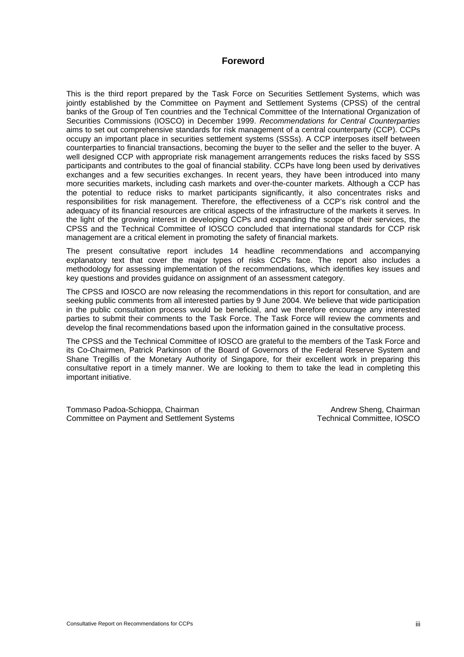# **Foreword**

This is the third report prepared by the Task Force on Securities Settlement Systems, which was jointly established by the Committee on Payment and Settlement Systems (CPSS) of the central banks of the Group of Ten countries and the Technical Committee of the International Organization of Securities Commissions (IOSCO) in December 1999. *Recommendations for Central Counterparties* aims to set out comprehensive standards for risk management of a central counterparty (CCP). CCPs occupy an important place in securities settlement systems (SSSs). A CCP interposes itself between counterparties to financial transactions, becoming the buyer to the seller and the seller to the buyer. A well designed CCP with appropriate risk management arrangements reduces the risks faced by SSS participants and contributes to the goal of financial stability. CCPs have long been used by derivatives exchanges and a few securities exchanges. In recent years, they have been introduced into many more securities markets, including cash markets and over-the-counter markets. Although a CCP has the potential to reduce risks to market participants significantly, it also concentrates risks and responsibilities for risk management. Therefore, the effectiveness of a CCP's risk control and the adequacy of its financial resources are critical aspects of the infrastructure of the markets it serves. In the light of the growing interest in developing CCPs and expanding the scope of their services, the CPSS and the Technical Committee of IOSCO concluded that international standards for CCP risk management are a critical element in promoting the safety of financial markets.

The present consultative report includes 14 headline recommendations and accompanying explanatory text that cover the major types of risks CCPs face. The report also includes a methodology for assessing implementation of the recommendations, which identifies key issues and key questions and provides guidance on assignment of an assessment category.

The CPSS and IOSCO are now releasing the recommendations in this report for consultation, and are seeking public comments from all interested parties by 9 June 2004. We believe that wide participation in the public consultation process would be beneficial, and we therefore encourage any interested parties to submit their comments to the Task Force. The Task Force will review the comments and develop the final recommendations based upon the information gained in the consultative process.

The CPSS and the Technical Committee of IOSCO are grateful to the members of the Task Force and its Co-Chairmen, Patrick Parkinson of the Board of Governors of the Federal Reserve System and Shane Tregillis of the Monetary Authority of Singapore, for their excellent work in preparing this consultative report in a timely manner. We are looking to them to take the lead in completing this important initiative.

Tommaso Padoa-Schioppa, Chairman Committee on Payment and Settlement Systems

Andrew Sheng, Chairman Technical Committee, IOSCO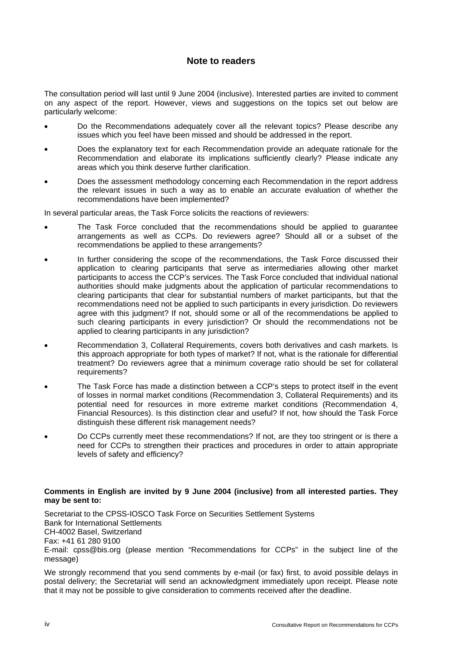# **Note to readers**

The consultation period will last until 9 June 2004 (inclusive). Interested parties are invited to comment on any aspect of the report. However, views and suggestions on the topics set out below are particularly welcome:

- Do the Recommendations adequately cover all the relevant topics? Please describe any issues which you feel have been missed and should be addressed in the report.
- Does the explanatory text for each Recommendation provide an adequate rationale for the Recommendation and elaborate its implications sufficiently clearly? Please indicate any areas which you think deserve further clarification.
- Does the assessment methodology concerning each Recommendation in the report address the relevant issues in such a way as to enable an accurate evaluation of whether the recommendations have been implemented?

In several particular areas, the Task Force solicits the reactions of reviewers:

- The Task Force concluded that the recommendations should be applied to guarantee arrangements as well as CCPs. Do reviewers agree? Should all or a subset of the recommendations be applied to these arrangements?
- In further considering the scope of the recommendations, the Task Force discussed their application to clearing participants that serve as intermediaries allowing other market participants to access the CCP's services. The Task Force concluded that individual national authorities should make judgments about the application of particular recommendations to clearing participants that clear for substantial numbers of market participants, but that the recommendations need not be applied to such participants in every jurisdiction. Do reviewers agree with this judgment? If not, should some or all of the recommendations be applied to such clearing participants in every jurisdiction? Or should the recommendations not be applied to clearing participants in any jurisdiction?
- Recommendation 3, Collateral Requirements, covers both derivatives and cash markets. Is this approach appropriate for both types of market? If not, what is the rationale for differential treatment? Do reviewers agree that a minimum coverage ratio should be set for collateral requirements?
- The Task Force has made a distinction between a CCP's steps to protect itself in the event of losses in normal market conditions (Recommendation 3, Collateral Requirements) and its potential need for resources in more extreme market conditions (Recommendation 4, Financial Resources). Is this distinction clear and useful? If not, how should the Task Force distinguish these different risk management needs?
- Do CCPs currently meet these recommendations? If not, are they too stringent or is there a need for CCPs to strengthen their practices and procedures in order to attain appropriate levels of safety and efficiency?

#### **Comments in English are invited by 9 June 2004 (inclusive) from all interested parties. They may be sent to:**

Secretariat to the CPSS-IOSCO Task Force on Securities Settlement Systems Bank for International Settlements CH-4002 Basel, Switzerland Fax: +41 61 280 9100 E-mail: cpss@bis.org (please mention "Recommendations for CCPs" in the subject line of the message)

We strongly recommend that you send comments by e-mail (or fax) first, to avoid possible delays in postal delivery; the Secretariat will send an acknowledgment immediately upon receipt. Please note that it may not be possible to give consideration to comments received after the deadline.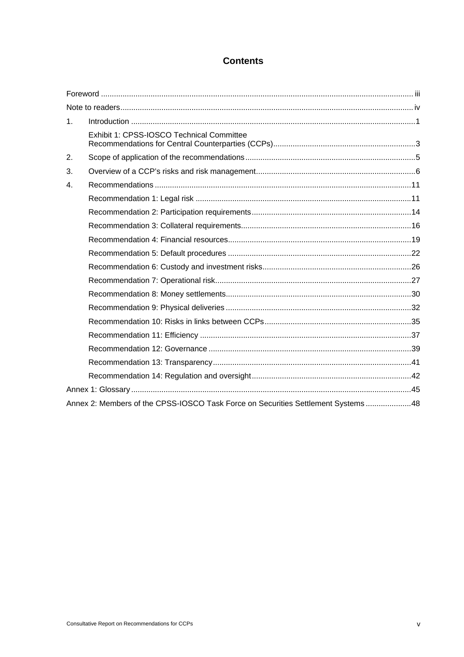# **Contents**

| 1 <sub>1</sub>                                                                   |                                           |  |  |
|----------------------------------------------------------------------------------|-------------------------------------------|--|--|
|                                                                                  | Exhibit 1: CPSS-IOSCO Technical Committee |  |  |
| 2.                                                                               |                                           |  |  |
| 3.                                                                               |                                           |  |  |
| 4.                                                                               |                                           |  |  |
|                                                                                  |                                           |  |  |
|                                                                                  |                                           |  |  |
|                                                                                  |                                           |  |  |
|                                                                                  |                                           |  |  |
|                                                                                  |                                           |  |  |
|                                                                                  |                                           |  |  |
|                                                                                  |                                           |  |  |
|                                                                                  |                                           |  |  |
|                                                                                  |                                           |  |  |
|                                                                                  |                                           |  |  |
|                                                                                  |                                           |  |  |
|                                                                                  |                                           |  |  |
|                                                                                  |                                           |  |  |
|                                                                                  |                                           |  |  |
|                                                                                  |                                           |  |  |
| Annex 2: Members of the CPSS-IOSCO Task Force on Securities Settlement Systems48 |                                           |  |  |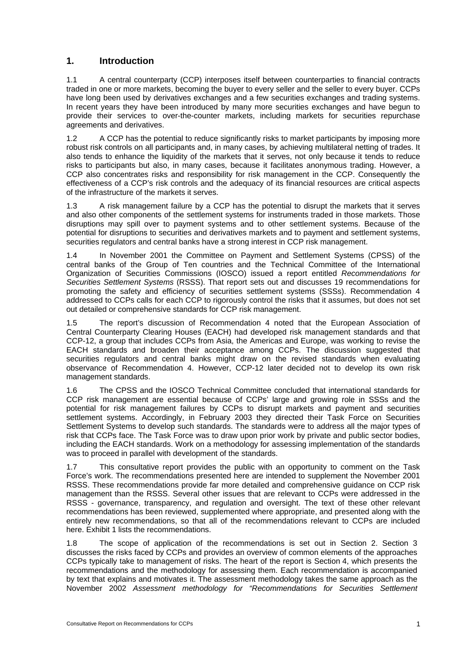# **1. Introduction**

1.1 A central counterparty (CCP) interposes itself between counterparties to financial contracts traded in one or more markets, becoming the buyer to every seller and the seller to every buyer. CCPs have long been used by derivatives exchanges and a few securities exchanges and trading systems. In recent years they have been introduced by many more securities exchanges and have begun to provide their services to over-the-counter markets, including markets for securities repurchase agreements and derivatives.

1.2 A CCP has the potential to reduce significantly risks to market participants by imposing more robust risk controls on all participants and, in many cases, by achieving multilateral netting of trades. It also tends to enhance the liquidity of the markets that it serves, not only because it tends to reduce risks to participants but also, in many cases, because it facilitates anonymous trading. However, a CCP also concentrates risks and responsibility for risk management in the CCP. Consequently the effectiveness of a CCP's risk controls and the adequacy of its financial resources are critical aspects of the infrastructure of the markets it serves.

1.3 A risk management failure by a CCP has the potential to disrupt the markets that it serves and also other components of the settlement systems for instruments traded in those markets. Those disruptions may spill over to payment systems and to other settlement systems. Because of the potential for disruptions to securities and derivatives markets and to payment and settlement systems, securities regulators and central banks have a strong interest in CCP risk management.

1.4 In November 2001 the Committee on Payment and Settlement Systems (CPSS) of the central banks of the Group of Ten countries and the Technical Committee of the International Organization of Securities Commissions (IOSCO) issued a report entitled *Recommendations for Securities Settlement Systems* (RSSS). That report sets out and discusses 19 recommendations for promoting the safety and efficiency of securities settlement systems (SSSs). Recommendation 4 addressed to CCPs calls for each CCP to rigorously control the risks that it assumes, but does not set out detailed or comprehensive standards for CCP risk management.

1.5 The report's discussion of Recommendation 4 noted that the European Association of Central Counterparty Clearing Houses (EACH) had developed risk management standards and that CCP-12, a group that includes CCPs from Asia, the Americas and Europe, was working to revise the EACH standards and broaden their acceptance among CCPs. The discussion suggested that securities regulators and central banks might draw on the revised standards when evaluating observance of Recommendation 4. However, CCP-12 later decided not to develop its own risk management standards.

1.6 The CPSS and the IOSCO Technical Committee concluded that international standards for CCP risk management are essential because of CCPs' large and growing role in SSSs and the potential for risk management failures by CCPs to disrupt markets and payment and securities settlement systems. Accordingly, in February 2003 they directed their Task Force on Securities Settlement Systems to develop such standards. The standards were to address all the major types of risk that CCPs face. The Task Force was to draw upon prior work by private and public sector bodies, including the EACH standards. Work on a methodology for assessing implementation of the standards was to proceed in parallel with development of the standards.

1.7 This consultative report provides the public with an opportunity to comment on the Task Force's work. The recommendations presented here are intended to supplement the November 2001 RSSS. These recommendations provide far more detailed and comprehensive guidance on CCP risk management than the RSSS. Several other issues that are relevant to CCPs were addressed in the RSSS - governance, transparency, and regulation and oversight. The text of these other relevant recommendations has been reviewed, supplemented where appropriate, and presented along with the entirely new recommendations, so that all of the recommendations relevant to CCPs are included here. Exhibit 1 lists the recommendations.

1.8 The scope of application of the recommendations is set out in Section 2. Section 3 discusses the risks faced by CCPs and provides an overview of common elements of the approaches CCPs typically take to management of risks. The heart of the report is Section 4, which presents the recommendations and the methodology for assessing them. Each recommendation is accompanied by text that explains and motivates it. The assessment methodology takes the same approach as the November 2002 *Assessment methodology for "Recommendations for Securities Settlement*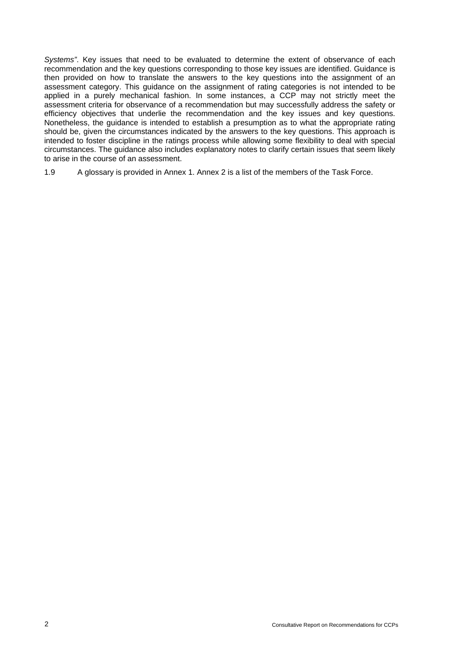*Systems"*. Key issues that need to be evaluated to determine the extent of observance of each recommendation and the key questions corresponding to those key issues are identified. Guidance is then provided on how to translate the answers to the key questions into the assignment of an assessment category. This guidance on the assignment of rating categories is not intended to be applied in a purely mechanical fashion. In some instances, a CCP may not strictly meet the assessment criteria for observance of a recommendation but may successfully address the safety or efficiency objectives that underlie the recommendation and the key issues and key questions. Nonetheless, the guidance is intended to establish a presumption as to what the appropriate rating should be, given the circumstances indicated by the answers to the key questions. This approach is intended to foster discipline in the ratings process while allowing some flexibility to deal with special circumstances. The guidance also includes explanatory notes to clarify certain issues that seem likely to arise in the course of an assessment.

1.9 A glossary is provided in Annex 1. Annex 2 is a list of the members of the Task Force.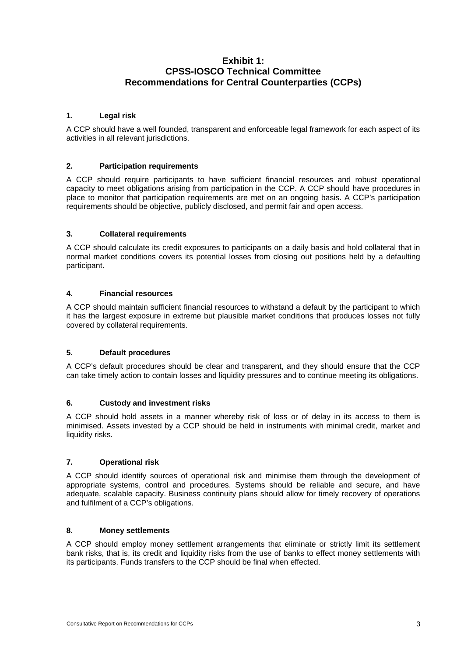# **Exhibit 1: CPSS-IOSCO Technical Committee Recommendations for Central Counterparties (CCPs)**

## **1. Legal risk**

A CCP should have a well founded, transparent and enforceable legal framework for each aspect of its activities in all relevant jurisdictions.

#### **2. Participation requirements**

A CCP should require participants to have sufficient financial resources and robust operational capacity to meet obligations arising from participation in the CCP. A CCP should have procedures in place to monitor that participation requirements are met on an ongoing basis. A CCP's participation requirements should be objective, publicly disclosed, and permit fair and open access.

#### **3. Collateral requirements**

A CCP should calculate its credit exposures to participants on a daily basis and hold collateral that in normal market conditions covers its potential losses from closing out positions held by a defaulting participant.

#### **4. Financial resources**

A CCP should maintain sufficient financial resources to withstand a default by the participant to which it has the largest exposure in extreme but plausible market conditions that produces losses not fully covered by collateral requirements.

#### **5. Default procedures**

A CCP's default procedures should be clear and transparent, and they should ensure that the CCP can take timely action to contain losses and liquidity pressures and to continue meeting its obligations.

#### **6. Custody and investment risks**

A CCP should hold assets in a manner whereby risk of loss or of delay in its access to them is minimised. Assets invested by a CCP should be held in instruments with minimal credit, market and liquidity risks.

#### **7. Operational risk**

A CCP should identify sources of operational risk and minimise them through the development of appropriate systems, control and procedures. Systems should be reliable and secure, and have adequate, scalable capacity. Business continuity plans should allow for timely recovery of operations and fulfilment of a CCP's obligations.

#### **8. Money settlements**

A CCP should employ money settlement arrangements that eliminate or strictly limit its settlement bank risks, that is, its credit and liquidity risks from the use of banks to effect money settlements with its participants. Funds transfers to the CCP should be final when effected.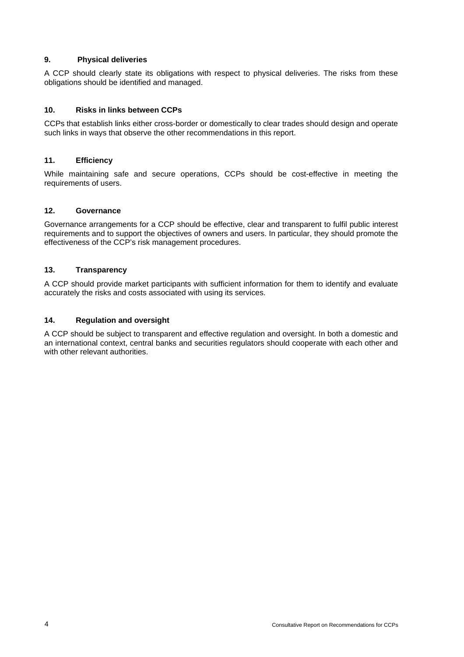## **9. Physical deliveries**

A CCP should clearly state its obligations with respect to physical deliveries. The risks from these obligations should be identified and managed.

## **10. Risks in links between CCPs**

CCPs that establish links either cross-border or domestically to clear trades should design and operate such links in ways that observe the other recommendations in this report.

# **11. Efficiency**

While maintaining safe and secure operations, CCPs should be cost-effective in meeting the requirements of users.

# **12. Governance**

Governance arrangements for a CCP should be effective, clear and transparent to fulfil public interest requirements and to support the objectives of owners and users. In particular, they should promote the effectiveness of the CCP's risk management procedures.

# **13. Transparency**

A CCP should provide market participants with sufficient information for them to identify and evaluate accurately the risks and costs associated with using its services.

# **14. Regulation and oversight**

A CCP should be subject to transparent and effective regulation and oversight. In both a domestic and an international context, central banks and securities regulators should cooperate with each other and with other relevant authorities.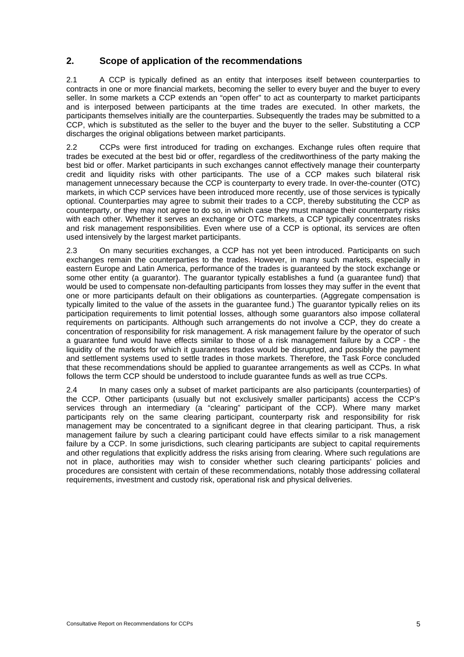# **2. Scope of application of the recommendations**

2.1 A CCP is typically defined as an entity that interposes itself between counterparties to contracts in one or more financial markets, becoming the seller to every buyer and the buyer to every seller. In some markets a CCP extends an "open offer" to act as counterparty to market participants and is interposed between participants at the time trades are executed. In other markets, the participants themselves initially are the counterparties. Subsequently the trades may be submitted to a CCP, which is substituted as the seller to the buyer and the buyer to the seller. Substituting a CCP discharges the original obligations between market participants.

2.2 CCPs were first introduced for trading on exchanges. Exchange rules often require that trades be executed at the best bid or offer, regardless of the creditworthiness of the party making the best bid or offer. Market participants in such exchanges cannot effectively manage their counterparty credit and liquidity risks with other participants. The use of a CCP makes such bilateral risk management unnecessary because the CCP is counterparty to every trade. In over-the-counter (OTC) markets, in which CCP services have been introduced more recently, use of those services is typically optional. Counterparties may agree to submit their trades to a CCP, thereby substituting the CCP as counterparty, or they may not agree to do so, in which case they must manage their counterparty risks with each other. Whether it serves an exchange or OTC markets, a CCP typically concentrates risks and risk management responsibilities. Even where use of a CCP is optional, its services are often used intensively by the largest market participants.

2.3 On many securities exchanges, a CCP has not yet been introduced. Participants on such exchanges remain the counterparties to the trades. However, in many such markets, especially in eastern Europe and Latin America, performance of the trades is guaranteed by the stock exchange or some other entity (a guarantor). The guarantor typically establishes a fund (a guarantee fund) that would be used to compensate non-defaulting participants from losses they may suffer in the event that one or more participants default on their obligations as counterparties. (Aggregate compensation is typically limited to the value of the assets in the guarantee fund.) The guarantor typically relies on its participation requirements to limit potential losses, although some guarantors also impose collateral requirements on participants. Although such arrangements do not involve a CCP, they do create a concentration of responsibility for risk management. A risk management failure by the operator of such a guarantee fund would have effects similar to those of a risk management failure by a CCP - the liquidity of the markets for which it guarantees trades would be disrupted, and possibly the payment and settlement systems used to settle trades in those markets. Therefore, the Task Force concluded that these recommendations should be applied to guarantee arrangements as well as CCPs. In what follows the term CCP should be understood to include guarantee funds as well as true CCPs.

2.4 In many cases only a subset of market participants are also participants (counterparties) of the CCP. Other participants (usually but not exclusively smaller participants) access the CCP's services through an intermediary (a "clearing" participant of the CCP). Where many market participants rely on the same clearing participant, counterparty risk and responsibility for risk management may be concentrated to a significant degree in that clearing participant. Thus, a risk management failure by such a clearing participant could have effects similar to a risk management failure by a CCP. In some jurisdictions, such clearing participants are subject to capital requirements and other regulations that explicitly address the risks arising from clearing. Where such regulations are not in place, authorities may wish to consider whether such clearing participants' policies and procedures are consistent with certain of these recommendations, notably those addressing collateral requirements, investment and custody risk, operational risk and physical deliveries.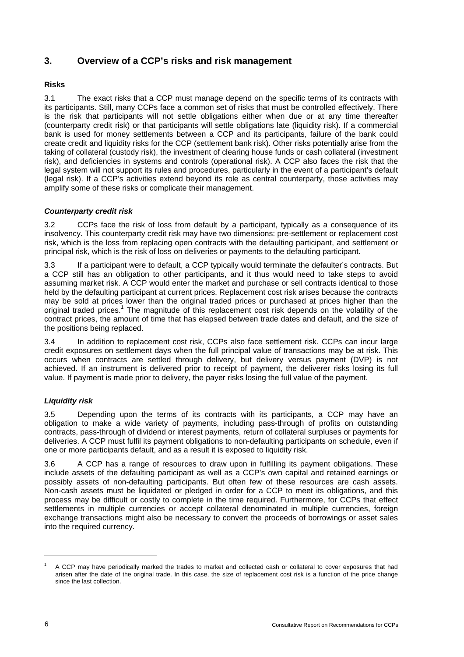# **3. Overview of a CCP's risks and risk management**

# **Risks**

3.1 The exact risks that a CCP must manage depend on the specific terms of its contracts with its participants. Still, many CCPs face a common set of risks that must be controlled effectively. There is the risk that participants will not settle obligations either when due or at any time thereafter (counterparty credit risk) or that participants will settle obligations late (liquidity risk). If a commercial bank is used for money settlements between a CCP and its participants, failure of the bank could create credit and liquidity risks for the CCP (settlement bank risk). Other risks potentially arise from the taking of collateral (custody risk), the investment of clearing house funds or cash collateral (investment risk), and deficiencies in systems and controls (operational risk). A CCP also faces the risk that the legal system will not support its rules and procedures, particularly in the event of a participant's default (legal risk). If a CCP's activities extend beyond its role as central counterparty, those activities may amplify some of these risks or complicate their management.

# *Counterparty credit risk*

3.2 CCPs face the risk of loss from default by a participant, typically as a consequence of its insolvency. This counterparty credit risk may have two dimensions: pre-settlement or replacement cost risk, which is the loss from replacing open contracts with the defaulting participant, and settlement or principal risk, which is the risk of loss on deliveries or payments to the defaulting participant.

3.3 If a participant were to default, a CCP typically would terminate the defaulter's contracts. But a CCP still has an obligation to other participants, and it thus would need to take steps to avoid assuming market risk. A CCP would enter the market and purchase or sell contracts identical to those held by the defaulting participant at current prices. Replacement cost risk arises because the contracts may be sold at prices lower than the original traded prices or purchased at prices higher than the original traded prices.<sup>1</sup> The magnitude of this replacement cost risk depends on the volatility of the contract prices, the amount of time that has elapsed between trade dates and default, and the size of the positions being replaced.

3.4 In addition to replacement cost risk, CCPs also face settlement risk. CCPs can incur large credit exposures on settlement days when the full principal value of transactions may be at risk. This occurs when contracts are settled through delivery, but delivery versus payment (DVP) is not achieved. If an instrument is delivered prior to receipt of payment, the deliverer risks losing its full value. If payment is made prior to delivery, the payer risks losing the full value of the payment.

# *Liquidity risk*

3.5 Depending upon the terms of its contracts with its participants, a CCP may have an obligation to make a wide variety of payments, including pass-through of profits on outstanding contracts, pass-through of dividend or interest payments, return of collateral surpluses or payments for deliveries. A CCP must fulfil its payment obligations to non-defaulting participants on schedule, even if one or more participants default, and as a result it is exposed to liquidity risk.

3.6 A CCP has a range of resources to draw upon in fulfilling its payment obligations. These include assets of the defaulting participant as well as a CCP's own capital and retained earnings or possibly assets of non-defaulting participants. But often few of these resources are cash assets. Non-cash assets must be liquidated or pledged in order for a CCP to meet its obligations, and this process may be difficult or costly to complete in the time required. Furthermore, for CCPs that effect settlements in multiple currencies or accept collateral denominated in multiple currencies, foreign exchange transactions might also be necessary to convert the proceeds of borrowings or asset sales into the required currency.

l

<sup>1</sup> A CCP may have periodically marked the trades to market and collected cash or collateral to cover exposures that had arisen after the date of the original trade. In this case, the size of replacement cost risk is a function of the price change since the last collection.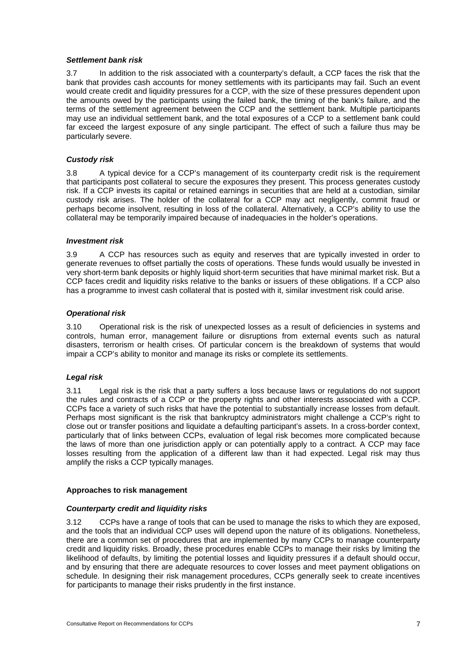#### *Settlement bank risk*

3.7 In addition to the risk associated with a counterparty's default, a CCP faces the risk that the bank that provides cash accounts for money settlements with its participants may fail. Such an event would create credit and liquidity pressures for a CCP, with the size of these pressures dependent upon the amounts owed by the participants using the failed bank, the timing of the bank's failure, and the terms of the settlement agreement between the CCP and the settlement bank. Multiple participants may use an individual settlement bank, and the total exposures of a CCP to a settlement bank could far exceed the largest exposure of any single participant. The effect of such a failure thus may be particularly severe.

#### *Custody risk*

3.8 A typical device for a CCP's management of its counterparty credit risk is the requirement that participants post collateral to secure the exposures they present. This process generates custody risk. If a CCP invests its capital or retained earnings in securities that are held at a custodian, similar custody risk arises. The holder of the collateral for a CCP may act negligently, commit fraud or perhaps become insolvent, resulting in loss of the collateral. Alternatively, a CCP's ability to use the collateral may be temporarily impaired because of inadequacies in the holder's operations.

#### *Investment risk*

3.9 A CCP has resources such as equity and reserves that are typically invested in order to generate revenues to offset partially the costs of operations. These funds would usually be invested in very short-term bank deposits or highly liquid short-term securities that have minimal market risk. But a CCP faces credit and liquidity risks relative to the banks or issuers of these obligations. If a CCP also has a programme to invest cash collateral that is posted with it, similar investment risk could arise.

#### *Operational risk*

3.10 Operational risk is the risk of unexpected losses as a result of deficiencies in systems and controls, human error, management failure or disruptions from external events such as natural disasters, terrorism or health crises. Of particular concern is the breakdown of systems that would impair a CCP's ability to monitor and manage its risks or complete its settlements.

#### *Legal risk*

3.11 Legal risk is the risk that a party suffers a loss because laws or regulations do not support the rules and contracts of a CCP or the property rights and other interests associated with a CCP. CCPs face a variety of such risks that have the potential to substantially increase losses from default. Perhaps most significant is the risk that bankruptcy administrators might challenge a CCP's right to close out or transfer positions and liquidate a defaulting participant's assets. In a cross-border context, particularly that of links between CCPs, evaluation of legal risk becomes more complicated because the laws of more than one jurisdiction apply or can potentially apply to a contract. A CCP may face losses resulting from the application of a different law than it had expected. Legal risk may thus amplify the risks a CCP typically manages.

#### **Approaches to risk management**

#### *Counterparty credit and liquidity risks*

3.12 CCPs have a range of tools that can be used to manage the risks to which they are exposed, and the tools that an individual CCP uses will depend upon the nature of its obligations. Nonetheless, there are a common set of procedures that are implemented by many CCPs to manage counterparty credit and liquidity risks. Broadly, these procedures enable CCPs to manage their risks by limiting the likelihood of defaults, by limiting the potential losses and liquidity pressures if a default should occur, and by ensuring that there are adequate resources to cover losses and meet payment obligations on schedule. In designing their risk management procedures, CCPs generally seek to create incentives for participants to manage their risks prudently in the first instance.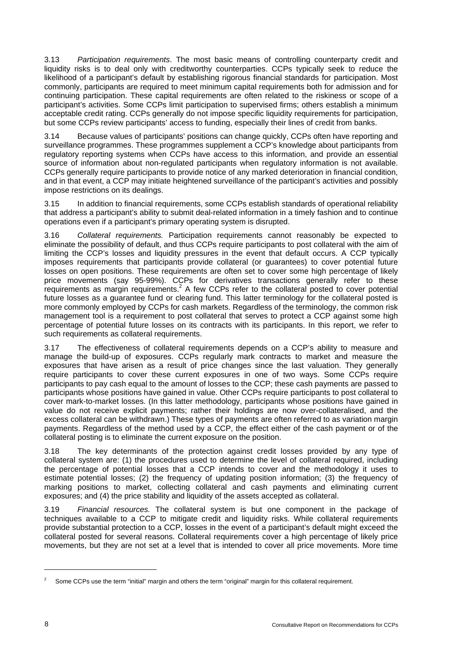3.13 *Participation requirements*. The most basic means of controlling counterparty credit and liquidity risks is to deal only with creditworthy counterparties. CCPs typically seek to reduce the likelihood of a participant's default by establishing rigorous financial standards for participation. Most commonly, participants are required to meet minimum capital requirements both for admission and for continuing participation. These capital requirements are often related to the riskiness or scope of a participant's activities. Some CCPs limit participation to supervised firms; others establish a minimum acceptable credit rating. CCPs generally do not impose specific liquidity requirements for participation, but some CCPs review participants' access to funding, especially their lines of credit from banks.

3.14 Because values of participants' positions can change quickly, CCPs often have reporting and surveillance programmes. These programmes supplement a CCP's knowledge about participants from regulatory reporting systems when CCPs have access to this information, and provide an essential source of information about non-regulated participants when regulatory information is not available. CCPs generally require participants to provide notice of any marked deterioration in financial condition, and in that event, a CCP may initiate heightened surveillance of the participant's activities and possibly impose restrictions on its dealings.

3.15 In addition to financial requirements, some CCPs establish standards of operational reliability that address a participant's ability to submit deal-related information in a timely fashion and to continue operations even if a participant's primary operating system is disrupted.

3.16 *Collateral requirements.* Participation requirements cannot reasonably be expected to eliminate the possibility of default, and thus CCPs require participants to post collateral with the aim of limiting the CCP's losses and liquidity pressures in the event that default occurs. A CCP typically imposes requirements that participants provide collateral (or guarantees) to cover potential future losses on open positions. These requirements are often set to cover some high percentage of likely price movements (say 95-99%). CCPs for derivatives transactions generally refer to these requirements as margin requirements.<sup>2</sup> A few CCPs refer to the collateral posted to cover potential future losses as a guarantee fund or clearing fund. This latter terminology for the collateral posted is more commonly employed by CCPs for cash markets. Regardless of the terminology, the common risk management tool is a requirement to post collateral that serves to protect a CCP against some high percentage of potential future losses on its contracts with its participants. In this report, we refer to such requirements as collateral requirements.

3.17 The effectiveness of collateral requirements depends on a CCP's ability to measure and manage the build-up of exposures. CCPs regularly mark contracts to market and measure the exposures that have arisen as a result of price changes since the last valuation. They generally require participants to cover these current exposures in one of two ways. Some CCPs require participants to pay cash equal to the amount of losses to the CCP; these cash payments are passed to participants whose positions have gained in value. Other CCPs require participants to post collateral to cover mark-to-market losses. (In this latter methodology, participants whose positions have gained in value do not receive explicit payments; rather their holdings are now over-collateralised, and the excess collateral can be withdrawn.) These types of payments are often referred to as variation margin payments. Regardless of the method used by a CCP, the effect either of the cash payment or of the collateral posting is to eliminate the current exposure on the position.

3.18 The key determinants of the protection against credit losses provided by any type of collateral system are: (1) the procedures used to determine the level of collateral required, including the percentage of potential losses that a CCP intends to cover and the methodology it uses to estimate potential losses; (2) the frequency of updating position information; (3) the frequency of marking positions to market, collecting collateral and cash payments and eliminating current exposures; and (4) the price stability and liquidity of the assets accepted as collateral.

3.19 *Financial resources.* The collateral system is but one component in the package of techniques available to a CCP to mitigate credit and liquidity risks. While collateral requirements provide substantial protection to a CCP, losses in the event of a participant's default might exceed the collateral posted for several reasons. Collateral requirements cover a high percentage of likely price movements, but they are not set at a level that is intended to cover all price movements. More time

l

 $\overline{2}$ Some CCPs use the term "initial" margin and others the term "original" margin for this collateral requirement.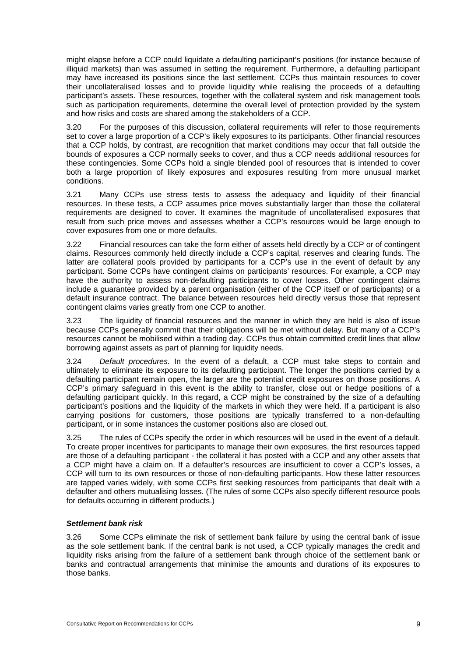might elapse before a CCP could liquidate a defaulting participant's positions (for instance because of illiquid markets) than was assumed in setting the requirement. Furthermore, a defaulting participant may have increased its positions since the last settlement. CCPs thus maintain resources to cover their uncollateralised losses and to provide liquidity while realising the proceeds of a defaulting participant's assets. These resources, together with the collateral system and risk management tools such as participation requirements, determine the overall level of protection provided by the system and how risks and costs are shared among the stakeholders of a CCP.

3.20 For the purposes of this discussion, collateral requirements will refer to those requirements set to cover a large proportion of a CCP's likely exposures to its participants. Other financial resources that a CCP holds, by contrast, are recognition that market conditions may occur that fall outside the bounds of exposures a CCP normally seeks to cover, and thus a CCP needs additional resources for these contingencies. Some CCPs hold a single blended pool of resources that is intended to cover both a large proportion of likely exposures and exposures resulting from more unusual market conditions.

3.21 Many CCPs use stress tests to assess the adequacy and liquidity of their financial resources. In these tests, a CCP assumes price moves substantially larger than those the collateral requirements are designed to cover. It examines the magnitude of uncollateralised exposures that result from such price moves and assesses whether a CCP's resources would be large enough to cover exposures from one or more defaults.

3.22 Financial resources can take the form either of assets held directly by a CCP or of contingent claims. Resources commonly held directly include a CCP's capital, reserves and clearing funds. The latter are collateral pools provided by participants for a CCP's use in the event of default by any participant. Some CCPs have contingent claims on participants' resources. For example, a CCP may have the authority to assess non-defaulting participants to cover losses. Other contingent claims include a guarantee provided by a parent organisation (either of the CCP itself or of participants) or a default insurance contract. The balance between resources held directly versus those that represent contingent claims varies greatly from one CCP to another.

3.23 The liquidity of financial resources and the manner in which they are held is also of issue because CCPs generally commit that their obligations will be met without delay. But many of a CCP's resources cannot be mobilised within a trading day. CCPs thus obtain committed credit lines that allow borrowing against assets as part of planning for liquidity needs.

3.24 *Default procedures.* In the event of a default, a CCP must take steps to contain and ultimately to eliminate its exposure to its defaulting participant. The longer the positions carried by a defaulting participant remain open, the larger are the potential credit exposures on those positions. A CCP's primary safeguard in this event is the ability to transfer, close out or hedge positions of a defaulting participant quickly. In this regard, a CCP might be constrained by the size of a defaulting participant's positions and the liquidity of the markets in which they were held. If a participant is also carrying positions for customers, those positions are typically transferred to a non-defaulting participant, or in some instances the customer positions also are closed out.

3.25 The rules of CCPs specify the order in which resources will be used in the event of a default. To create proper incentives for participants to manage their own exposures, the first resources tapped are those of a defaulting participant - the collateral it has posted with a CCP and any other assets that a CCP might have a claim on. If a defaulter's resources are insufficient to cover a CCP's losses, a CCP will turn to its own resources or those of non-defaulting participants. How these latter resources are tapped varies widely, with some CCPs first seeking resources from participants that dealt with a defaulter and others mutualising losses. (The rules of some CCPs also specify different resource pools for defaults occurring in different products.)

#### *Settlement bank risk*

3.26 Some CCPs eliminate the risk of settlement bank failure by using the central bank of issue as the sole settlement bank. If the central bank is not used, a CCP typically manages the credit and liquidity risks arising from the failure of a settlement bank through choice of the settlement bank or banks and contractual arrangements that minimise the amounts and durations of its exposures to those banks.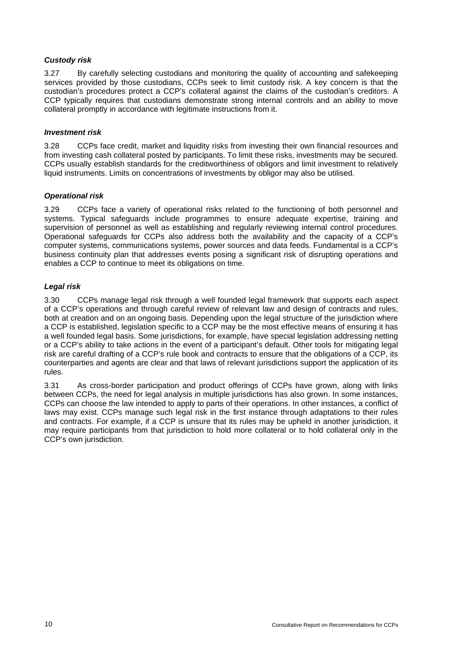## *Custody risk*

3.27 By carefully selecting custodians and monitoring the quality of accounting and safekeeping services provided by those custodians, CCPs seek to limit custody risk. A key concern is that the custodian's procedures protect a CCP's collateral against the claims of the custodian's creditors. A CCP typically requires that custodians demonstrate strong internal controls and an ability to move collateral promptly in accordance with legitimate instructions from it.

# *Investment risk*

3.28 CCPs face credit, market and liquidity risks from investing their own financial resources and from investing cash collateral posted by participants. To limit these risks, investments may be secured. CCPs usually establish standards for the creditworthiness of obligors and limit investment to relatively liquid instruments. Limits on concentrations of investments by obligor may also be utilised.

#### *Operational risk*

3.29 CCPs face a variety of operational risks related to the functioning of both personnel and systems. Typical safeguards include programmes to ensure adequate expertise, training and supervision of personnel as well as establishing and regularly reviewing internal control procedures. Operational safeguards for CCPs also address both the availability and the capacity of a CCP's computer systems, communications systems, power sources and data feeds. Fundamental is a CCP's business continuity plan that addresses events posing a significant risk of disrupting operations and enables a CCP to continue to meet its obligations on time.

# *Legal risk*

3.30 CCPs manage legal risk through a well founded legal framework that supports each aspect of a CCP's operations and through careful review of relevant law and design of contracts and rules, both at creation and on an ongoing basis. Depending upon the legal structure of the jurisdiction where a CCP is established, legislation specific to a CCP may be the most effective means of ensuring it has a well founded legal basis. Some jurisdictions, for example, have special legislation addressing netting or a CCP's ability to take actions in the event of a participant's default. Other tools for mitigating legal risk are careful drafting of a CCP's rule book and contracts to ensure that the obligations of a CCP, its counterparties and agents are clear and that laws of relevant jurisdictions support the application of its rules.

3.31 As cross-border participation and product offerings of CCPs have grown, along with links between CCPs, the need for legal analysis in multiple jurisdictions has also grown. In some instances, CCPs can choose the law intended to apply to parts of their operations. In other instances, a conflict of laws may exist. CCPs manage such legal risk in the first instance through adaptations to their rules and contracts. For example, if a CCP is unsure that its rules may be upheld in another jurisdiction, it may require participants from that jurisdiction to hold more collateral or to hold collateral only in the CCP's own jurisdiction.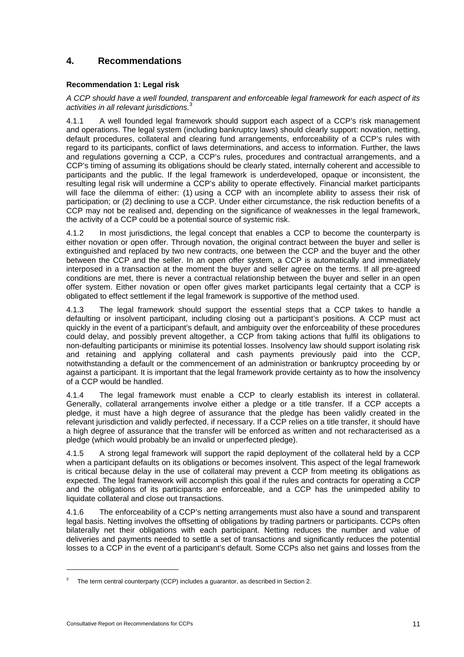# **4. Recommendations**

# **Recommendation 1: Legal risk**

#### *A CCP should have a well founded, transparent and enforceable legal framework for each aspect of its activities in all relevant jurisdictions.*<sup>3</sup>

4.1.1 A well founded legal framework should support each aspect of a CCP's risk management and operations. The legal system (including bankruptcy laws) should clearly support: novation, netting, default procedures, collateral and clearing fund arrangements, enforceability of a CCP's rules with regard to its participants, conflict of laws determinations, and access to information. Further, the laws and regulations governing a CCP, a CCP's rules, procedures and contractual arrangements, and a CCP's timing of assuming its obligations should be clearly stated, internally coherent and accessible to participants and the public. If the legal framework is underdeveloped, opaque or inconsistent, the resulting legal risk will undermine a CCP's ability to operate effectively. Financial market participants will face the dilemma of either: (1) using a CCP with an incomplete ability to assess their risk of participation; or (2) declining to use a CCP. Under either circumstance, the risk reduction benefits of a CCP may not be realised and, depending on the significance of weaknesses in the legal framework, the activity of a CCP could be a potential source of systemic risk.

4.1.2 In most jurisdictions, the legal concept that enables a CCP to become the counterparty is either novation or open offer. Through novation, the original contract between the buyer and seller is extinguished and replaced by two new contracts, one between the CCP and the buyer and the other between the CCP and the seller. In an open offer system, a CCP is automatically and immediately interposed in a transaction at the moment the buyer and seller agree on the terms. If all pre-agreed conditions are met, there is never a contractual relationship between the buyer and seller in an open offer system. Either novation or open offer gives market participants legal certainty that a CCP is obligated to effect settlement if the legal framework is supportive of the method used.

4.1.3 The legal framework should support the essential steps that a CCP takes to handle a defaulting or insolvent participant, including closing out a participant's positions. A CCP must act quickly in the event of a participant's default, and ambiguity over the enforceability of these procedures could delay, and possibly prevent altogether, a CCP from taking actions that fulfil its obligations to non-defaulting participants or minimise its potential losses. Insolvency law should support isolating risk and retaining and applying collateral and cash payments previously paid into the CCP, notwithstanding a default or the commencement of an administration or bankruptcy proceeding by or against a participant. It is important that the legal framework provide certainty as to how the insolvency of a CCP would be handled.

4.1.4 The legal framework must enable a CCP to clearly establish its interest in collateral. Generally, collateral arrangements involve either a pledge or a title transfer. If a CCP accepts a pledge, it must have a high degree of assurance that the pledge has been validly created in the relevant jurisdiction and validly perfected, if necessary. If a CCP relies on a title transfer, it should have a high degree of assurance that the transfer will be enforced as written and not recharacterised as a pledge (which would probably be an invalid or unperfected pledge).

4.1.5 A strong legal framework will support the rapid deployment of the collateral held by a CCP when a participant defaults on its obligations or becomes insolvent. This aspect of the legal framework is critical because delay in the use of collateral may prevent a CCP from meeting its obligations as expected. The legal framework will accomplish this goal if the rules and contracts for operating a CCP and the obligations of its participants are enforceable, and a CCP has the unimpeded ability to liquidate collateral and close out transactions.

4.1.6 The enforceability of a CCP's netting arrangements must also have a sound and transparent legal basis. Netting involves the offsetting of obligations by trading partners or participants. CCPs often bilaterally net their obligations with each participant. Netting reduces the number and value of deliveries and payments needed to settle a set of transactions and significantly reduces the potential losses to a CCP in the event of a participant's default. Some CCPs also net gains and losses from the

 $\overline{a}$ 

<sup>3</sup> The term central counterparty (CCP) includes a guarantor, as described in Section 2.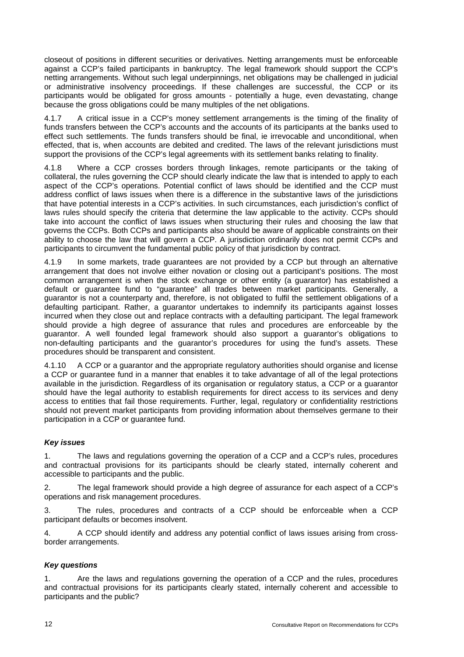closeout of positions in different securities or derivatives. Netting arrangements must be enforceable against a CCP's failed participants in bankruptcy. The legal framework should support the CCP's netting arrangements. Without such legal underpinnings, net obligations may be challenged in judicial or administrative insolvency proceedings. If these challenges are successful, the CCP or its participants would be obligated for gross amounts - potentially a huge, even devastating, change because the gross obligations could be many multiples of the net obligations.

4.1.7 A critical issue in a CCP's money settlement arrangements is the timing of the finality of funds transfers between the CCP's accounts and the accounts of its participants at the banks used to effect such settlements. The funds transfers should be final, ie irrevocable and unconditional, when effected, that is, when accounts are debited and credited. The laws of the relevant jurisdictions must support the provisions of the CCP's legal agreements with its settlement banks relating to finality.

4.1.8 Where a CCP crosses borders through linkages, remote participants or the taking of collateral, the rules governing the CCP should clearly indicate the law that is intended to apply to each aspect of the CCP's operations. Potential conflict of laws should be identified and the CCP must address conflict of laws issues when there is a difference in the substantive laws of the jurisdictions that have potential interests in a CCP's activities. In such circumstances, each jurisdiction's conflict of laws rules should specify the criteria that determine the law applicable to the activity. CCPs should take into account the conflict of laws issues when structuring their rules and choosing the law that governs the CCPs. Both CCPs and participants also should be aware of applicable constraints on their ability to choose the law that will govern a CCP. A jurisdiction ordinarily does not permit CCPs and participants to circumvent the fundamental public policy of that jurisdiction by contract.

4.1.9 In some markets, trade guarantees are not provided by a CCP but through an alternative arrangement that does not involve either novation or closing out a participant's positions. The most common arrangement is when the stock exchange or other entity (a guarantor) has established a default or guarantee fund to "guarantee" all trades between market participants. Generally, a guarantor is not a counterparty and, therefore, is not obligated to fulfil the settlement obligations of a defaulting participant. Rather, a guarantor undertakes to indemnify its participants against losses incurred when they close out and replace contracts with a defaulting participant. The legal framework should provide a high degree of assurance that rules and procedures are enforceable by the guarantor. A well founded legal framework should also support a guarantor's obligations to non-defaulting participants and the guarantor's procedures for using the fund's assets. These procedures should be transparent and consistent.

4.1.10 A CCP or a guarantor and the appropriate regulatory authorities should organise and license a CCP or guarantee fund in a manner that enables it to take advantage of all of the legal protections available in the jurisdiction. Regardless of its organisation or regulatory status, a CCP or a guarantor should have the legal authority to establish requirements for direct access to its services and deny access to entities that fail those requirements. Further, legal, regulatory or confidentiality restrictions should not prevent market participants from providing information about themselves germane to their participation in a CCP or guarantee fund.

#### *Key issues*

1. The laws and regulations governing the operation of a CCP and a CCP's rules, procedures and contractual provisions for its participants should be clearly stated, internally coherent and accessible to participants and the public.

2. The legal framework should provide a high degree of assurance for each aspect of a CCP's operations and risk management procedures.

3. The rules, procedures and contracts of a CCP should be enforceable when a CCP participant defaults or becomes insolvent.

4. A CCP should identify and address any potential conflict of laws issues arising from crossborder arrangements.

#### *Key questions*

1. Are the laws and regulations governing the operation of a CCP and the rules, procedures and contractual provisions for its participants clearly stated, internally coherent and accessible to participants and the public?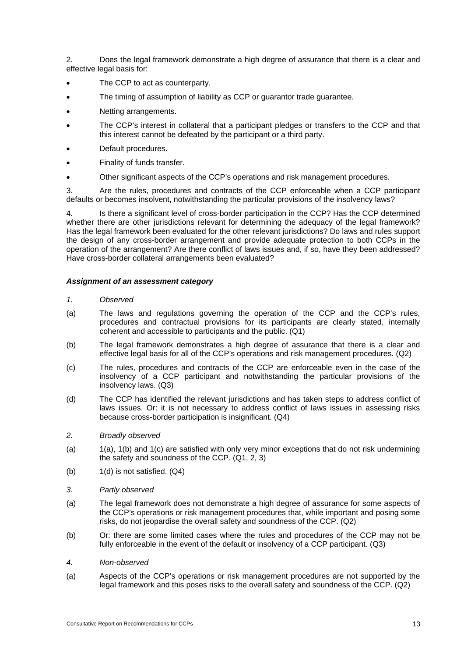2. Does the legal framework demonstrate a high degree of assurance that there is a clear and effective legal basis for:

- The CCP to act as counterparty.
- The timing of assumption of liability as CCP or guarantor trade guarantee.
- Netting arrangements.
- The CCP's interest in collateral that a participant pledges or transfers to the CCP and that this interest cannot be defeated by the participant or a third party.
- Default procedures.
- Finality of funds transfer.
- Other significant aspects of the CCP's operations and risk management procedures.

3. Are the rules, procedures and contracts of the CCP enforceable when a CCP participant defaults or becomes insolvent, notwithstanding the particular provisions of the insolvency laws?

4. Is there a significant level of cross-border participation in the CCP? Has the CCP determined whether there are other jurisdictions relevant for determining the adequacy of the legal framework? Has the legal framework been evaluated for the other relevant jurisdictions? Do laws and rules support the design of any cross-border arrangement and provide adequate protection to both CCPs in the operation of the arrangement? Are there conflict of laws issues and, if so, have they been addressed? Have cross-border collateral arrangements been evaluated?

#### *Assignment of an assessment category*

- *1. Observed*
- (a) The laws and regulations governing the operation of the CCP and the CCP's rules, procedures and contractual provisions for its participants are clearly stated, internally coherent and accessible to participants and the public. (Q1)
- (b) The legal framework demonstrates a high degree of assurance that there is a clear and effective legal basis for all of the CCP's operations and risk management procedures. (Q2)
- (c) The rules, procedures and contracts of the CCP are enforceable even in the case of the insolvency of a CCP participant and notwithstanding the particular provisions of the insolvency laws. (Q3)
- (d) The CCP has identified the relevant jurisdictions and has taken steps to address conflict of laws issues. Or: it is not necessary to address conflict of laws issues in assessing risks because cross-border participation is insignificant. (Q4)
- *2. Broadly observed*
- (a) 1(a), 1(b) and 1(c) are satisfied with only very minor exceptions that do not risk undermining the safety and soundness of the CCP. (Q1, 2, 3)
- (b) 1(d) is not satisfied. (Q4)
- *3. Partly observed*
- (a) The legal framework does not demonstrate a high degree of assurance for some aspects of the CCP's operations or risk management procedures that, while important and posing some risks, do not jeopardise the overall safety and soundness of the CCP. (Q2)
- (b) Or: there are some limited cases where the rules and procedures of the CCP may not be fully enforceable in the event of the default or insolvency of a CCP participant. (Q3)
- *4. Non-observed*
- (a) Aspects of the CCP's operations or risk management procedures are not supported by the legal framework and this poses risks to the overall safety and soundness of the CCP. (Q2)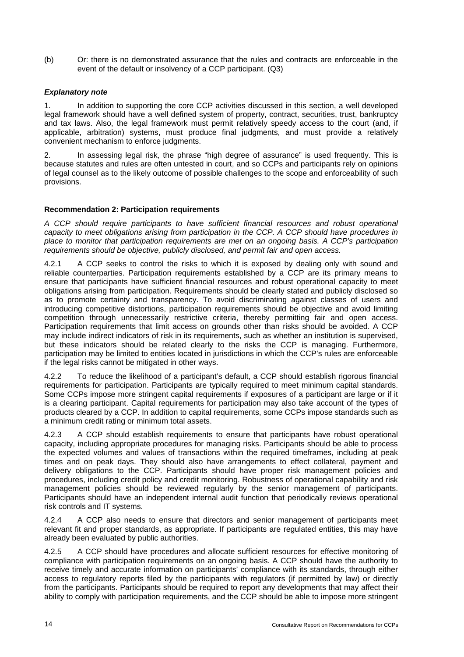(b) Or: there is no demonstrated assurance that the rules and contracts are enforceable in the event of the default or insolvency of a CCP participant. (Q3)

## *Explanatory note*

1. In addition to supporting the core CCP activities discussed in this section, a well developed legal framework should have a well defined system of property, contract, securities, trust, bankruptcy and tax laws. Also, the legal framework must permit relatively speedy access to the court (and, if applicable, arbitration) systems, must produce final judgments, and must provide a relatively convenient mechanism to enforce judgments.

2. In assessing legal risk, the phrase "high degree of assurance" is used frequently. This is because statutes and rules are often untested in court, and so CCPs and participants rely on opinions of legal counsel as to the likely outcome of possible challenges to the scope and enforceability of such provisions.

#### **Recommendation 2: Participation requirements**

*A CCP should require participants to have sufficient financial resources and robust operational capacity to meet obligations arising from participation in the CCP. A CCP should have procedures in place to monitor that participation requirements are met on an ongoing basis. A CCP's participation requirements should be objective, publicly disclosed, and permit fair and open access.* 

4.2.1 A CCP seeks to control the risks to which it is exposed by dealing only with sound and reliable counterparties. Participation requirements established by a CCP are its primary means to ensure that participants have sufficient financial resources and robust operational capacity to meet obligations arising from participation. Requirements should be clearly stated and publicly disclosed so as to promote certainty and transparency. To avoid discriminating against classes of users and introducing competitive distortions, participation requirements should be objective and avoid limiting competition through unnecessarily restrictive criteria, thereby permitting fair and open access. Participation requirements that limit access on grounds other than risks should be avoided. A CCP may include indirect indicators of risk in its requirements, such as whether an institution is supervised, but these indicators should be related clearly to the risks the CCP is managing. Furthermore, participation may be limited to entities located in jurisdictions in which the CCP's rules are enforceable if the legal risks cannot be mitigated in other ways.

4.2.2 To reduce the likelihood of a participant's default, a CCP should establish rigorous financial requirements for participation. Participants are typically required to meet minimum capital standards. Some CCPs impose more stringent capital requirements if exposures of a participant are large or if it is a clearing participant. Capital requirements for participation may also take account of the types of products cleared by a CCP. In addition to capital requirements, some CCPs impose standards such as a minimum credit rating or minimum total assets.

4.2.3 A CCP should establish requirements to ensure that participants have robust operational capacity, including appropriate procedures for managing risks. Participants should be able to process the expected volumes and values of transactions within the required timeframes, including at peak times and on peak days. They should also have arrangements to effect collateral, payment and delivery obligations to the CCP. Participants should have proper risk management policies and procedures, including credit policy and credit monitoring. Robustness of operational capability and risk management policies should be reviewed regularly by the senior management of participants. Participants should have an independent internal audit function that periodically reviews operational risk controls and IT systems.

4.2.4 A CCP also needs to ensure that directors and senior management of participants meet relevant fit and proper standards, as appropriate. If participants are regulated entities, this may have already been evaluated by public authorities.

4.2.5 A CCP should have procedures and allocate sufficient resources for effective monitoring of compliance with participation requirements on an ongoing basis. A CCP should have the authority to receive timely and accurate information on participants' compliance with its standards, through either access to regulatory reports filed by the participants with regulators (if permitted by law) or directly from the participants. Participants should be required to report any developments that may affect their ability to comply with participation requirements, and the CCP should be able to impose more stringent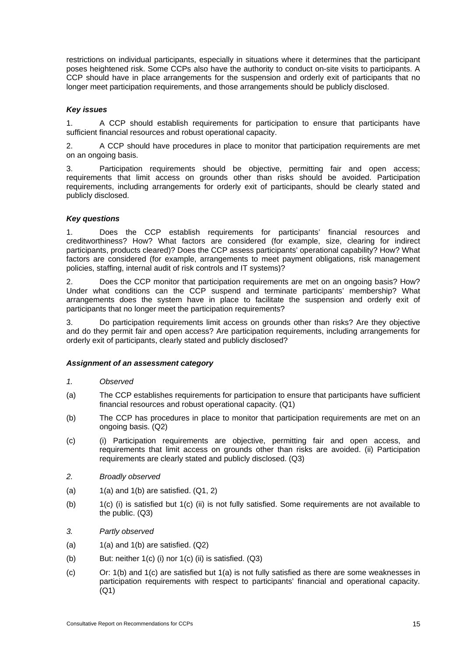restrictions on individual participants, especially in situations where it determines that the participant poses heightened risk. Some CCPs also have the authority to conduct on-site visits to participants. A CCP should have in place arrangements for the suspension and orderly exit of participants that no longer meet participation requirements, and those arrangements should be publicly disclosed.

#### *Key issues*

1. A CCP should establish requirements for participation to ensure that participants have sufficient financial resources and robust operational capacity.

2. A CCP should have procedures in place to monitor that participation requirements are met on an ongoing basis.

3. Participation requirements should be objective, permitting fair and open access; requirements that limit access on grounds other than risks should be avoided. Participation requirements, including arrangements for orderly exit of participants, should be clearly stated and publicly disclosed.

#### *Key questions*

1. Does the CCP establish requirements for participants' financial resources and creditworthiness? How? What factors are considered (for example, size, clearing for indirect participants, products cleared)? Does the CCP assess participants' operational capability? How? What factors are considered (for example, arrangements to meet payment obligations, risk management policies, staffing, internal audit of risk controls and IT systems)?

2. Does the CCP monitor that participation requirements are met on an ongoing basis? How? Under what conditions can the CCP suspend and terminate participants' membership? What arrangements does the system have in place to facilitate the suspension and orderly exit of participants that no longer meet the participation requirements?

3. Do participation requirements limit access on grounds other than risks? Are they objective and do they permit fair and open access? Are participation requirements, including arrangements for orderly exit of participants, clearly stated and publicly disclosed?

#### *Assignment of an assessment category*

- *1. Observed*
- (a) The CCP establishes requirements for participation to ensure that participants have sufficient financial resources and robust operational capacity. (Q1)
- (b) The CCP has procedures in place to monitor that participation requirements are met on an ongoing basis. (Q2)
- (c) (i) Participation requirements are objective, permitting fair and open access, and requirements that limit access on grounds other than risks are avoided. (ii) Participation requirements are clearly stated and publicly disclosed. (Q3)
- *2. Broadly observed*
- (a)  $1(a)$  and  $1(b)$  are satisfied.  $(Q1, 2)$
- (b) 1(c) (i) is satisfied but 1(c) (ii) is not fully satisfied. Some requirements are not available to the public. (Q3)
- *3. Partly observed*
- (a)  $1(a)$  and  $1(b)$  are satisfied.  $(Q2)$
- (b) But: neither  $1(c)$  (i) nor  $1(c)$  (ii) is satisfied.  $(Q3)$
- (c) Or:  $1(b)$  and  $1(c)$  are satisfied but  $1(a)$  is not fully satisfied as there are some weaknesses in participation requirements with respect to participants' financial and operational capacity. (Q1)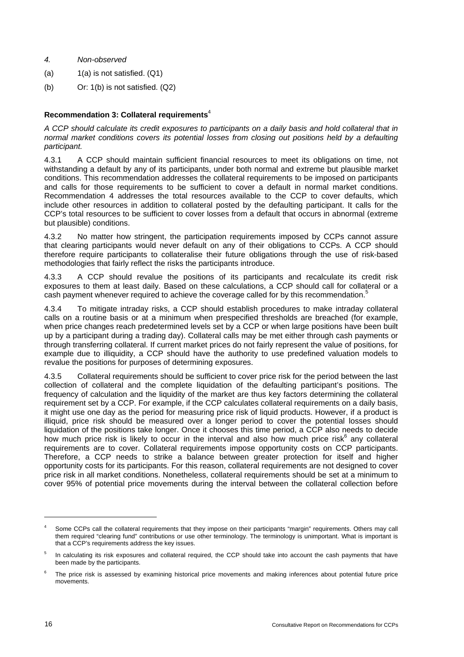- *4. Non-observed*
- (a)  $1(a)$  is not satisfied.  $(Q1)$
- (b) Or: 1(b) is not satisfied. (Q2)

# **Recommendation 3: Collateral requirements**<sup>4</sup>

*A CCP should calculate its credit exposures to participants on a daily basis and hold collateral that in normal market conditions covers its potential losses from closing out positions held by a defaulting participant.* 

4.3.1 A CCP should maintain sufficient financial resources to meet its obligations on time, not withstanding a default by any of its participants, under both normal and extreme but plausible market conditions. This recommendation addresses the collateral requirements to be imposed on participants and calls for those requirements to be sufficient to cover a default in normal market conditions. Recommendation 4 addresses the total resources available to the CCP to cover defaults, which include other resources in addition to collateral posted by the defaulting participant. It calls for the CCP's total resources to be sufficient to cover losses from a default that occurs in abnormal (extreme but plausible) conditions.

4.3.2 No matter how stringent, the participation requirements imposed by CCPs cannot assure that clearing participants would never default on any of their obligations to CCPs. A CCP should therefore require participants to collateralise their future obligations through the use of risk-based methodologies that fairly reflect the risks the participants introduce.

4.3.3 A CCP should revalue the positions of its participants and recalculate its credit risk exposures to them at least daily. Based on these calculations, a CCP should call for collateral or a cash payment whenever required to achieve the coverage called for by this recommendation.<sup>5</sup>

4.3.4 To mitigate intraday risks, a CCP should establish procedures to make intraday collateral calls on a routine basis or at a minimum when prespecified thresholds are breached (for example, when price changes reach predetermined levels set by a CCP or when large positions have been built up by a participant during a trading day). Collateral calls may be met either through cash payments or through transferring collateral. If current market prices do not fairly represent the value of positions, for example due to illiquidity, a CCP should have the authority to use predefined valuation models to revalue the positions for purposes of determining exposures.

4.3.5 Collateral requirements should be sufficient to cover price risk for the period between the last collection of collateral and the complete liquidation of the defaulting participant's positions. The frequency of calculation and the liquidity of the market are thus key factors determining the collateral requirement set by a CCP. For example, if the CCP calculates collateral requirements on a daily basis, it might use one day as the period for measuring price risk of liquid products. However, if a product is illiquid, price risk should be measured over a longer period to cover the potential losses should liquidation of the positions take longer. Once it chooses this time period, a CCP also needs to decide how much price risk is likely to occur in the interval and also how much price risk $6$  any collateral requirements are to cover. Collateral requirements impose opportunity costs on CCP participants. Therefore, a CCP needs to strike a balance between greater protection for itself and higher opportunity costs for its participants. For this reason, collateral requirements are not designed to cover price risk in all market conditions. Nonetheless, collateral requirements should be set at a minimum to cover 95% of potential price movements during the interval between the collateral collection before

l

<sup>4</sup> Some CCPs call the collateral requirements that they impose on their participants "margin" requirements. Others may call them required "clearing fund" contributions or use other terminology. The terminology is unimportant. What is important is that a CCP's requirements address the key issues.

<sup>5</sup> In calculating its risk exposures and collateral required, the CCP should take into account the cash payments that have been made by the participants.

<sup>6</sup> The price risk is assessed by examining historical price movements and making inferences about potential future price movements.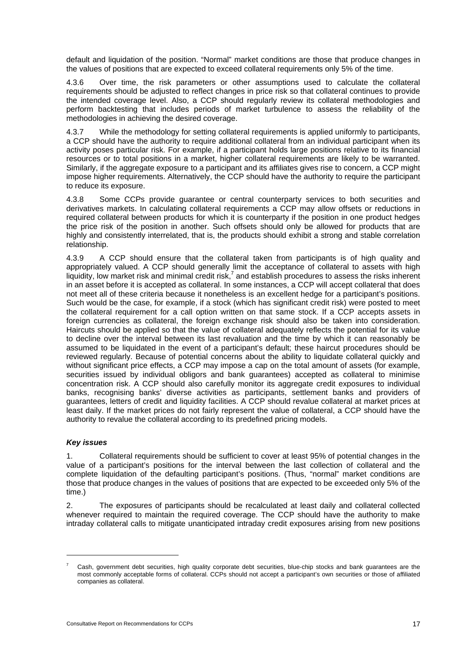default and liquidation of the position. "Normal" market conditions are those that produce changes in the values of positions that are expected to exceed collateral requirements only 5% of the time.

4.3.6 Over time, the risk parameters or other assumptions used to calculate the collateral requirements should be adjusted to reflect changes in price risk so that collateral continues to provide the intended coverage level. Also, a CCP should regularly review its collateral methodologies and perform backtesting that includes periods of market turbulence to assess the reliability of the methodologies in achieving the desired coverage.

4.3.7 While the methodology for setting collateral requirements is applied uniformly to participants, a CCP should have the authority to require additional collateral from an individual participant when its activity poses particular risk. For example, if a participant holds large positions relative to its financial resources or to total positions in a market, higher collateral requirements are likely to be warranted. Similarly, if the aggregate exposure to a participant and its affiliates gives rise to concern, a CCP might impose higher requirements. Alternatively, the CCP should have the authority to require the participant to reduce its exposure.

4.3.8 Some CCPs provide guarantee or central counterparty services to both securities and derivatives markets. In calculating collateral requirements a CCP may allow offsets or reductions in required collateral between products for which it is counterparty if the position in one product hedges the price risk of the position in another. Such offsets should only be allowed for products that are highly and consistently interrelated, that is, the products should exhibit a strong and stable correlation relationship.

4.3.9 A CCP should ensure that the collateral taken from participants is of high quality and appropriately valued. A CCP should generally limit the acceptance of collateral to assets with high  $l$ iquidity, low market risk and minimal credit risk,<sup>7</sup> and establish procedures to assess the risks inherent in an asset before it is accepted as collateral. In some instances, a CCP will accept collateral that does not meet all of these criteria because it nonetheless is an excellent hedge for a participant's positions. Such would be the case, for example, if a stock (which has significant credit risk) were posted to meet the collateral requirement for a call option written on that same stock. If a CCP accepts assets in foreign currencies as collateral, the foreign exchange risk should also be taken into consideration. Haircuts should be applied so that the value of collateral adequately reflects the potential for its value to decline over the interval between its last revaluation and the time by which it can reasonably be assumed to be liquidated in the event of a participant's default; these haircut procedures should be reviewed regularly. Because of potential concerns about the ability to liquidate collateral quickly and without significant price effects, a CCP may impose a cap on the total amount of assets (for example, securities issued by individual obligors and bank guarantees) accepted as collateral to minimise concentration risk. A CCP should also carefully monitor its aggregate credit exposures to individual banks, recognising banks' diverse activities as participants, settlement banks and providers of guarantees, letters of credit and liquidity facilities. A CCP should revalue collateral at market prices at least daily. If the market prices do not fairly represent the value of collateral, a CCP should have the authority to revalue the collateral according to its predefined pricing models.

#### *Key issues*

 $\overline{a}$ 

1. Collateral requirements should be sufficient to cover at least 95% of potential changes in the value of a participant's positions for the interval between the last collection of collateral and the complete liquidation of the defaulting participant's positions. (Thus, "normal" market conditions are those that produce changes in the values of positions that are expected to be exceeded only 5% of the time.)

2. The exposures of participants should be recalculated at least daily and collateral collected whenever required to maintain the required coverage. The CCP should have the authority to make intraday collateral calls to mitigate unanticipated intraday credit exposures arising from new positions

<sup>7</sup> Cash, government debt securities, high quality corporate debt securities, blue-chip stocks and bank guarantees are the most commonly acceptable forms of collateral. CCPs should not accept a participant's own securities or those of affiliated companies as collateral.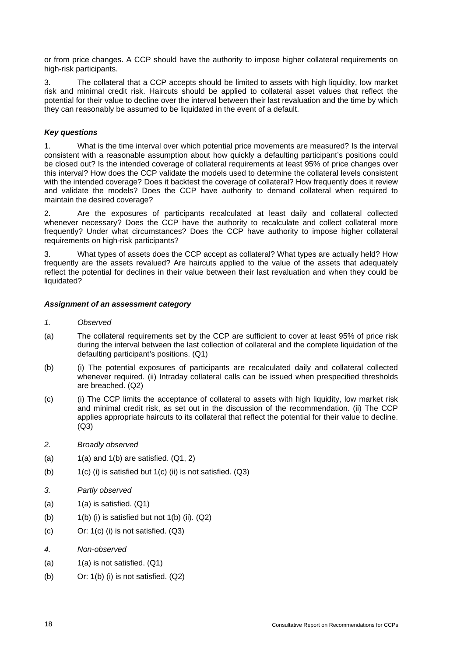or from price changes. A CCP should have the authority to impose higher collateral requirements on high-risk participants.

3. The collateral that a CCP accepts should be limited to assets with high liquidity, low market risk and minimal credit risk. Haircuts should be applied to collateral asset values that reflect the potential for their value to decline over the interval between their last revaluation and the time by which they can reasonably be assumed to be liquidated in the event of a default.

# *Key questions*

1. What is the time interval over which potential price movements are measured? Is the interval consistent with a reasonable assumption about how quickly a defaulting participant's positions could be closed out? Is the intended coverage of collateral requirements at least 95% of price changes over this interval? How does the CCP validate the models used to determine the collateral levels consistent with the intended coverage? Does it backtest the coverage of collateral? How frequently does it review and validate the models? Does the CCP have authority to demand collateral when required to maintain the desired coverage?

2. Are the exposures of participants recalculated at least daily and collateral collected whenever necessary? Does the CCP have the authority to recalculate and collect collateral more frequently? Under what circumstances? Does the CCP have authority to impose higher collateral requirements on high-risk participants?

3. What types of assets does the CCP accept as collateral? What types are actually held? How frequently are the assets revalued? Are haircuts applied to the value of the assets that adequately reflect the potential for declines in their value between their last revaluation and when they could be liquidated?

# *Assignment of an assessment category*

# *1. Observed*

- (a) The collateral requirements set by the CCP are sufficient to cover at least 95% of price risk during the interval between the last collection of collateral and the complete liquidation of the defaulting participant's positions. (Q1)
- (b) (i) The potential exposures of participants are recalculated daily and collateral collected whenever required. (ii) Intraday collateral calls can be issued when prespecified thresholds are breached. (Q2)
- (c) (i) The CCP limits the acceptance of collateral to assets with high liquidity, low market risk and minimal credit risk, as set out in the discussion of the recommendation. (ii) The CCP applies appropriate haircuts to its collateral that reflect the potential for their value to decline. (Q3)
- *2. Broadly observed*
- (a)  $1(a)$  and  $1(b)$  are satisfied.  $(Q1, 2)$
- (b)  $1(c)$  (i) is satisfied but  $1(c)$  (ii) is not satisfied. (Q3)
- *3. Partly observed*
- $(a)$  1(a) is satisfied.  $(Q1)$
- (b)  $1(b)$  (i) is satisfied but not  $1(b)$  (ii).  $(Q2)$
- (c) Or: 1(c) (i) is not satisfied. (Q3)
- *4. Non-observed*
- (a)  $1(a)$  is not satisfied.  $(Q1)$
- (b) Or: 1(b) (i) is not satisfied. (Q2)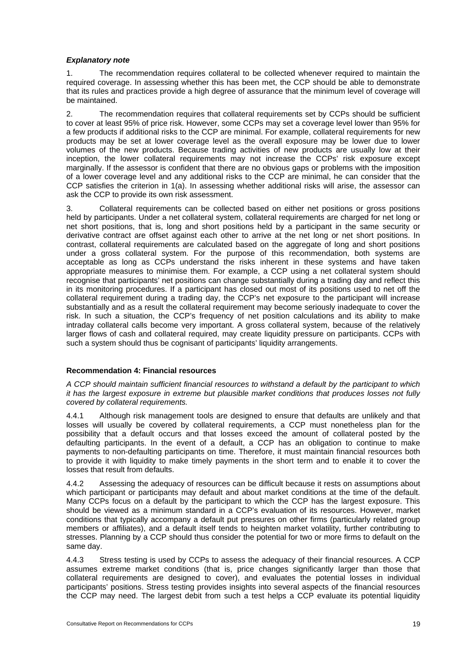#### *Explanatory note*

1. The recommendation requires collateral to be collected whenever required to maintain the required coverage. In assessing whether this has been met, the CCP should be able to demonstrate that its rules and practices provide a high degree of assurance that the minimum level of coverage will be maintained.

2. The recommendation requires that collateral requirements set by CCPs should be sufficient to cover at least 95% of price risk. However, some CCPs may set a coverage level lower than 95% for a few products if additional risks to the CCP are minimal. For example, collateral requirements for new products may be set at lower coverage level as the overall exposure may be lower due to lower volumes of the new products. Because trading activities of new products are usually low at their inception, the lower collateral requirements may not increase the CCPs' risk exposure except marginally. If the assessor is confident that there are no obvious gaps or problems with the imposition of a lower coverage level and any additional risks to the CCP are minimal, he can consider that the CCP satisfies the criterion in 1(a). In assessing whether additional risks will arise, the assessor can ask the CCP to provide its own risk assessment.

3. Collateral requirements can be collected based on either net positions or gross positions held by participants. Under a net collateral system, collateral requirements are charged for net long or net short positions, that is, long and short positions held by a participant in the same security or derivative contract are offset against each other to arrive at the net long or net short positions. In contrast, collateral requirements are calculated based on the aggregate of long and short positions under a gross collateral system. For the purpose of this recommendation, both systems are acceptable as long as CCPs understand the risks inherent in these systems and have taken appropriate measures to minimise them. For example, a CCP using a net collateral system should recognise that participants' net positions can change substantially during a trading day and reflect this in its monitoring procedures. If a participant has closed out most of its positions used to net off the collateral requirement during a trading day, the CCP's net exposure to the participant will increase substantially and as a result the collateral requirement may become seriously inadequate to cover the risk. In such a situation, the CCP's frequency of net position calculations and its ability to make intraday collateral calls become very important. A gross collateral system, because of the relatively larger flows of cash and collateral required, may create liquidity pressure on participants. CCPs with such a system should thus be cognisant of participants' liquidity arrangements.

#### **Recommendation 4: Financial resources**

*A CCP should maintain sufficient financial resources to withstand a default by the participant to which it has the largest exposure in extreme but plausible market conditions that produces losses not fully covered by collateral requirements.* 

4.4.1 Although risk management tools are designed to ensure that defaults are unlikely and that losses will usually be covered by collateral requirements, a CCP must nonetheless plan for the possibility that a default occurs and that losses exceed the amount of collateral posted by the defaulting participants. In the event of a default, a CCP has an obligation to continue to make payments to non-defaulting participants on time. Therefore, it must maintain financial resources both to provide it with liquidity to make timely payments in the short term and to enable it to cover the losses that result from defaults.

4.4.2 Assessing the adequacy of resources can be difficult because it rests on assumptions about which participant or participants may default and about market conditions at the time of the default. Many CCPs focus on a default by the participant to which the CCP has the largest exposure. This should be viewed as a minimum standard in a CCP's evaluation of its resources. However, market conditions that typically accompany a default put pressures on other firms (particularly related group members or affiliates), and a default itself tends to heighten market volatility, further contributing to stresses. Planning by a CCP should thus consider the potential for two or more firms to default on the same day.

4.4.3 Stress testing is used by CCPs to assess the adequacy of their financial resources. A CCP assumes extreme market conditions (that is, price changes significantly larger than those that collateral requirements are designed to cover), and evaluates the potential losses in individual participants' positions. Stress testing provides insights into several aspects of the financial resources the CCP may need. The largest debit from such a test helps a CCP evaluate its potential liquidity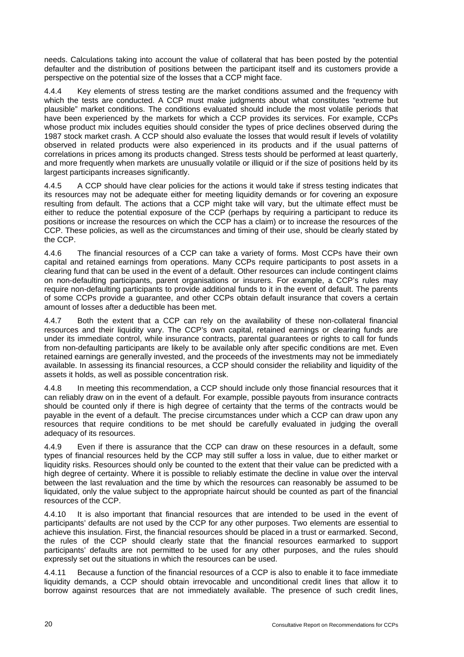needs. Calculations taking into account the value of collateral that has been posted by the potential defaulter and the distribution of positions between the participant itself and its customers provide a perspective on the potential size of the losses that a CCP might face.

4.4.4 Key elements of stress testing are the market conditions assumed and the frequency with which the tests are conducted. A CCP must make judgments about what constitutes "extreme but plausible" market conditions. The conditions evaluated should include the most volatile periods that have been experienced by the markets for which a CCP provides its services. For example, CCPs whose product mix includes equities should consider the types of price declines observed during the 1987 stock market crash. A CCP should also evaluate the losses that would result if levels of volatility observed in related products were also experienced in its products and if the usual patterns of correlations in prices among its products changed. Stress tests should be performed at least quarterly, and more frequently when markets are unusually volatile or illiquid or if the size of positions held by its largest participants increases significantly.

4.4.5 A CCP should have clear policies for the actions it would take if stress testing indicates that its resources may not be adequate either for meeting liquidity demands or for covering an exposure resulting from default. The actions that a CCP might take will vary, but the ultimate effect must be either to reduce the potential exposure of the CCP (perhaps by requiring a participant to reduce its positions or increase the resources on which the CCP has a claim) or to increase the resources of the CCP. These policies, as well as the circumstances and timing of their use, should be clearly stated by the CCP.

4.4.6 The financial resources of a CCP can take a variety of forms. Most CCPs have their own capital and retained earnings from operations. Many CCPs require participants to post assets in a clearing fund that can be used in the event of a default. Other resources can include contingent claims on non-defaulting participants, parent organisations or insurers. For example, a CCP's rules may require non-defaulting participants to provide additional funds to it in the event of default. The parents of some CCPs provide a guarantee, and other CCPs obtain default insurance that covers a certain amount of losses after a deductible has been met.

4.4.7 Both the extent that a CCP can rely on the availability of these non-collateral financial resources and their liquidity vary. The CCP's own capital, retained earnings or clearing funds are under its immediate control, while insurance contracts, parental guarantees or rights to call for funds from non-defaulting participants are likely to be available only after specific conditions are met. Even retained earnings are generally invested, and the proceeds of the investments may not be immediately available. In assessing its financial resources, a CCP should consider the reliability and liquidity of the assets it holds, as well as possible concentration risk.

4.4.8 In meeting this recommendation, a CCP should include only those financial resources that it can reliably draw on in the event of a default. For example, possible payouts from insurance contracts should be counted only if there is high degree of certainty that the terms of the contracts would be payable in the event of a default. The precise circumstances under which a CCP can draw upon any resources that require conditions to be met should be carefully evaluated in judging the overall adequacy of its resources.

4.4.9 Even if there is assurance that the CCP can draw on these resources in a default, some types of financial resources held by the CCP may still suffer a loss in value, due to either market or liquidity risks. Resources should only be counted to the extent that their value can be predicted with a high degree of certainty. Where it is possible to reliably estimate the decline in value over the interval between the last revaluation and the time by which the resources can reasonably be assumed to be liquidated, only the value subject to the appropriate haircut should be counted as part of the financial resources of the CCP.

4.4.10 It is also important that financial resources that are intended to be used in the event of participants' defaults are not used by the CCP for any other purposes. Two elements are essential to achieve this insulation. First, the financial resources should be placed in a trust or earmarked. Second, the rules of the CCP should clearly state that the financial resources earmarked to support participants' defaults are not permitted to be used for any other purposes, and the rules should expressly set out the situations in which the resources can be used.

4.4.11 Because a function of the financial resources of a CCP is also to enable it to face immediate liquidity demands, a CCP should obtain irrevocable and unconditional credit lines that allow it to borrow against resources that are not immediately available. The presence of such credit lines,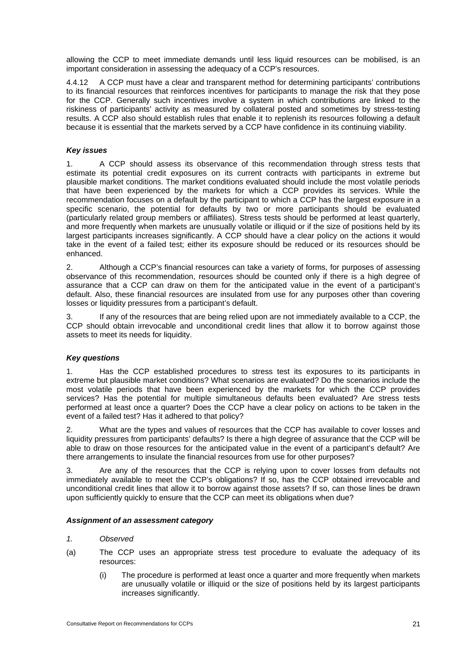allowing the CCP to meet immediate demands until less liquid resources can be mobilised, is an important consideration in assessing the adequacy of a CCP's resources.

4.4.12 A CCP must have a clear and transparent method for determining participants' contributions to its financial resources that reinforces incentives for participants to manage the risk that they pose for the CCP. Generally such incentives involve a system in which contributions are linked to the riskiness of participants' activity as measured by collateral posted and sometimes by stress-testing results. A CCP also should establish rules that enable it to replenish its resources following a default because it is essential that the markets served by a CCP have confidence in its continuing viability.

#### *Key issues*

1. A CCP should assess its observance of this recommendation through stress tests that estimate its potential credit exposures on its current contracts with participants in extreme but plausible market conditions. The market conditions evaluated should include the most volatile periods that have been experienced by the markets for which a CCP provides its services. While the recommendation focuses on a default by the participant to which a CCP has the largest exposure in a specific scenario, the potential for defaults by two or more participants should be evaluated (particularly related group members or affiliates). Stress tests should be performed at least quarterly, and more frequently when markets are unusually volatile or illiquid or if the size of positions held by its largest participants increases significantly. A CCP should have a clear policy on the actions it would take in the event of a failed test; either its exposure should be reduced or its resources should be enhanced.

2. Although a CCP's financial resources can take a variety of forms, for purposes of assessing observance of this recommendation, resources should be counted only if there is a high degree of assurance that a CCP can draw on them for the anticipated value in the event of a participant's default. Also, these financial resources are insulated from use for any purposes other than covering losses or liquidity pressures from a participant's default.

3. If any of the resources that are being relied upon are not immediately available to a CCP, the CCP should obtain irrevocable and unconditional credit lines that allow it to borrow against those assets to meet its needs for liquidity.

#### *Key questions*

1. Has the CCP established procedures to stress test its exposures to its participants in extreme but plausible market conditions? What scenarios are evaluated? Do the scenarios include the most volatile periods that have been experienced by the markets for which the CCP provides services? Has the potential for multiple simultaneous defaults been evaluated? Are stress tests performed at least once a quarter? Does the CCP have a clear policy on actions to be taken in the event of a failed test? Has it adhered to that policy?

2. What are the types and values of resources that the CCP has available to cover losses and liquidity pressures from participants' defaults? Is there a high degree of assurance that the CCP will be able to draw on those resources for the anticipated value in the event of a participant's default? Are there arrangements to insulate the financial resources from use for other purposes?

3. Are any of the resources that the CCP is relying upon to cover losses from defaults not immediately available to meet the CCP's obligations? If so, has the CCP obtained irrevocable and unconditional credit lines that allow it to borrow against those assets? If so, can those lines be drawn upon sufficiently quickly to ensure that the CCP can meet its obligations when due?

#### *Assignment of an assessment category*

#### *1. Observed*

- (a) The CCP uses an appropriate stress test procedure to evaluate the adequacy of its resources:
	- (i) The procedure is performed at least once a quarter and more frequently when markets are unusually volatile or illiquid or the size of positions held by its largest participants increases significantly.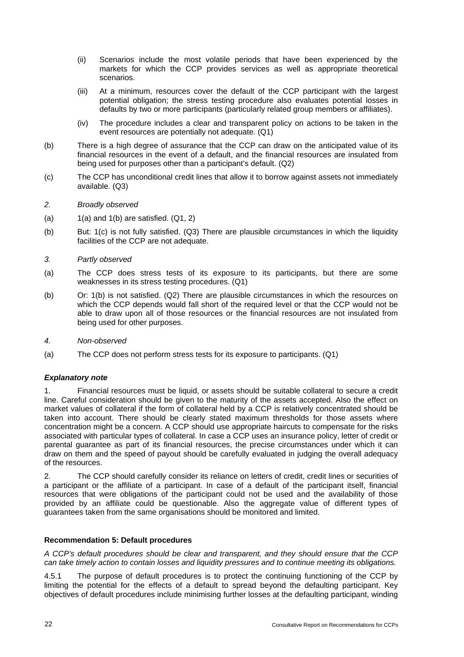- (ii) Scenarios include the most volatile periods that have been experienced by the markets for which the CCP provides services as well as appropriate theoretical scenarios.
- (iii) At a minimum, resources cover the default of the CCP participant with the largest potential obligation; the stress testing procedure also evaluates potential losses in defaults by two or more participants (particularly related group members or affiliates).
- (iv) The procedure includes a clear and transparent policy on actions to be taken in the event resources are potentially not adequate. (Q1)
- (b) There is a high degree of assurance that the CCP can draw on the anticipated value of its financial resources in the event of a default, and the financial resources are insulated from being used for purposes other than a participant's default. (Q2)
- (c) The CCP has unconditional credit lines that allow it to borrow against assets not immediately available. (Q3)

#### *2. Broadly observed*

- (a)  $1(a)$  and  $1(b)$  are satisfied.  $(Q1, 2)$
- (b) But: 1(c) is not fully satisfied. (Q3) There are plausible circumstances in which the liquidity facilities of the CCP are not adequate.

#### *3. Partly observed*

- (a) The CCP does stress tests of its exposure to its participants, but there are some weaknesses in its stress testing procedures. (Q1)
- (b) Or: 1(b) is not satisfied. (Q2) There are plausible circumstances in which the resources on which the CCP depends would fall short of the required level or that the CCP would not be able to draw upon all of those resources or the financial resources are not insulated from being used for other purposes.
- *4. Non-observed*
- (a) The CCP does not perform stress tests for its exposure to participants. (Q1)

#### *Explanatory note*

1. Financial resources must be liquid, or assets should be suitable collateral to secure a credit line. Careful consideration should be given to the maturity of the assets accepted. Also the effect on market values of collateral if the form of collateral held by a CCP is relatively concentrated should be taken into account. There should be clearly stated maximum thresholds for those assets where concentration might be a concern. A CCP should use appropriate haircuts to compensate for the risks associated with particular types of collateral. In case a CCP uses an insurance policy, letter of credit or parental guarantee as part of its financial resources, the precise circumstances under which it can draw on them and the speed of payout should be carefully evaluated in judging the overall adequacy of the resources.

2. The CCP should carefully consider its reliance on letters of credit, credit lines or securities of a participant or the affiliate of a participant. In case of a default of the participant itself, financial resources that were obligations of the participant could not be used and the availability of those provided by an affiliate could be questionable. Also the aggregate value of different types of guarantees taken from the same organisations should be monitored and limited.

## **Recommendation 5: Default procedures**

*A CCP's default procedures should be clear and transparent, and they should ensure that the CCP can take timely action to contain losses and liquidity pressures and to continue meeting its obligations.* 

4.5.1 The purpose of default procedures is to protect the continuing functioning of the CCP by limiting the potential for the effects of a default to spread beyond the defaulting participant. Key objectives of default procedures include minimising further losses at the defaulting participant, winding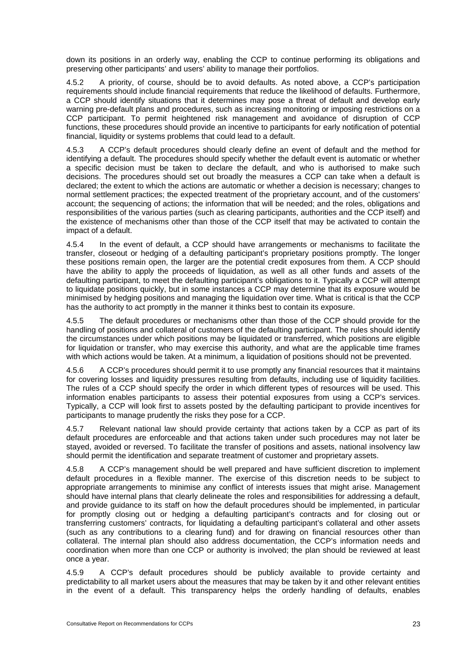down its positions in an orderly way, enabling the CCP to continue performing its obligations and preserving other participants' and users' ability to manage their portfolios.

4.5.2 A priority, of course, should be to avoid defaults. As noted above, a CCP's participation requirements should include financial requirements that reduce the likelihood of defaults. Furthermore, a CCP should identify situations that it determines may pose a threat of default and develop early warning pre-default plans and procedures, such as increasing monitoring or imposing restrictions on a CCP participant. To permit heightened risk management and avoidance of disruption of CCP functions, these procedures should provide an incentive to participants for early notification of potential financial, liquidity or systems problems that could lead to a default.

4.5.3 A CCP's default procedures should clearly define an event of default and the method for identifying a default. The procedures should specify whether the default event is automatic or whether a specific decision must be taken to declare the default, and who is authorised to make such decisions. The procedures should set out broadly the measures a CCP can take when a default is declared; the extent to which the actions are automatic or whether a decision is necessary; changes to normal settlement practices; the expected treatment of the proprietary account, and of the customers' account; the sequencing of actions; the information that will be needed; and the roles, obligations and responsibilities of the various parties (such as clearing participants, authorities and the CCP itself) and the existence of mechanisms other than those of the CCP itself that may be activated to contain the impact of a default.

4.5.4 In the event of default, a CCP should have arrangements or mechanisms to facilitate the transfer, closeout or hedging of a defaulting participant's proprietary positions promptly. The longer these positions remain open, the larger are the potential credit exposures from them. A CCP should have the ability to apply the proceeds of liquidation, as well as all other funds and assets of the defaulting participant, to meet the defaulting participant's obligations to it. Typically a CCP will attempt to liquidate positions quickly, but in some instances a CCP may determine that its exposure would be minimised by hedging positions and managing the liquidation over time. What is critical is that the CCP has the authority to act promptly in the manner it thinks best to contain its exposure.

4.5.5 The default procedures or mechanisms other than those of the CCP should provide for the handling of positions and collateral of customers of the defaulting participant. The rules should identify the circumstances under which positions may be liquidated or transferred, which positions are eligible for liquidation or transfer, who may exercise this authority, and what are the applicable time frames with which actions would be taken. At a minimum, a liquidation of positions should not be prevented.

4.5.6 A CCP's procedures should permit it to use promptly any financial resources that it maintains for covering losses and liquidity pressures resulting from defaults, including use of liquidity facilities. The rules of a CCP should specify the order in which different types of resources will be used. This information enables participants to assess their potential exposures from using a CCP's services. Typically, a CCP will look first to assets posted by the defaulting participant to provide incentives for participants to manage prudently the risks they pose for a CCP.

4.5.7 Relevant national law should provide certainty that actions taken by a CCP as part of its default procedures are enforceable and that actions taken under such procedures may not later be stayed, avoided or reversed. To facilitate the transfer of positions and assets, national insolvency law should permit the identification and separate treatment of customer and proprietary assets.

4.5.8 A CCP's management should be well prepared and have sufficient discretion to implement default procedures in a flexible manner. The exercise of this discretion needs to be subject to appropriate arrangements to minimise any conflict of interests issues that might arise. Management should have internal plans that clearly delineate the roles and responsibilities for addressing a default, and provide guidance to its staff on how the default procedures should be implemented, in particular for promptly closing out or hedging a defaulting participant's contracts and for closing out or transferring customers' contracts, for liquidating a defaulting participant's collateral and other assets (such as any contributions to a clearing fund) and for drawing on financial resources other than collateral. The internal plan should also address documentation, the CCP's information needs and coordination when more than one CCP or authority is involved; the plan should be reviewed at least once a year.

4.5.9 A CCP's default procedures should be publicly available to provide certainty and predictability to all market users about the measures that may be taken by it and other relevant entities in the event of a default. This transparency helps the orderly handling of defaults, enables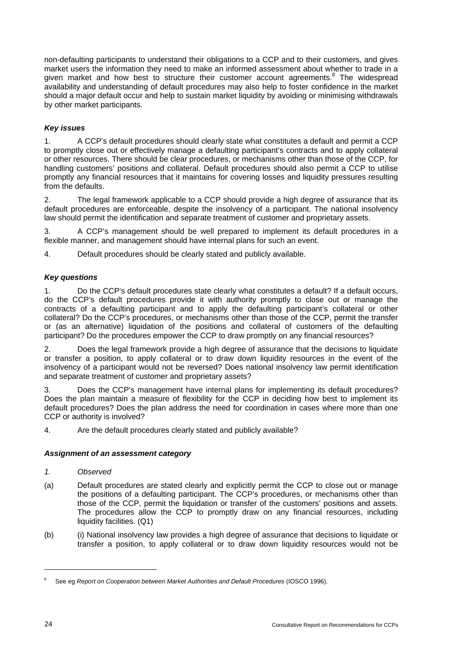non-defaulting participants to understand their obligations to a CCP and to their customers, and gives market users the information they need to make an informed assessment about whether to trade in a given market and how best to structure their customer account agreements.<sup>8</sup> The widespread availability and understanding of default procedures may also help to foster confidence in the market should a major default occur and help to sustain market liquidity by avoiding or minimising withdrawals by other market participants.

# *Key issues*

1. A CCP's default procedures should clearly state what constitutes a default and permit a CCP to promptly close out or effectively manage a defaulting participant's contracts and to apply collateral or other resources. There should be clear procedures, or mechanisms other than those of the CCP, for handling customers' positions and collateral. Default procedures should also permit a CCP to utilise promptly any financial resources that it maintains for covering losses and liquidity pressures resulting from the defaults.

2. The legal framework applicable to a CCP should provide a high degree of assurance that its default procedures are enforceable, despite the insolvency of a participant. The national insolvency law should permit the identification and separate treatment of customer and proprietary assets.

3. A CCP's management should be well prepared to implement its default procedures in a flexible manner, and management should have internal plans for such an event.

4. Default procedures should be clearly stated and publicly available.

#### *Key questions*

1. Do the CCP's default procedures state clearly what constitutes a default? If a default occurs, do the CCP's default procedures provide it with authority promptly to close out or manage the contracts of a defaulting participant and to apply the defaulting participant's collateral or other collateral? Do the CCP's procedures, or mechanisms other than those of the CCP, permit the transfer or (as an alternative) liquidation of the positions and collateral of customers of the defaulting participant? Do the procedures empower the CCP to draw promptly on any financial resources?

2. Does the legal framework provide a high degree of assurance that the decisions to liquidate or transfer a position, to apply collateral or to draw down liquidity resources in the event of the insolvency of a participant would not be reversed? Does national insolvency law permit identification and separate treatment of customer and proprietary assets?

3. Does the CCP's management have internal plans for implementing its default procedures? Does the plan maintain a measure of flexibility for the CCP in deciding how best to implement its default procedures? Does the plan address the need for coordination in cases where more than one CCP or authority is involved?

4. Are the default procedures clearly stated and publicly available?

#### *Assignment of an assessment category*

#### *1. Observed*

- (a) Default procedures are stated clearly and explicitly permit the CCP to close out or manage the positions of a defaulting participant. The CCP's procedures, or mechanisms other than those of the CCP, permit the liquidation or transfer of the customers' positions and assets. The procedures allow the CCP to promptly draw on any financial resources, including liquidity facilities. (Q1)
- (b) (i) National insolvency law provides a high degree of assurance that decisions to liquidate or transfer a position, to apply collateral or to draw down liquidity resources would not be

l

<sup>8</sup> See eg *Report on Cooperation between Market Authorities and Default Procedures* (IOSCO 1996).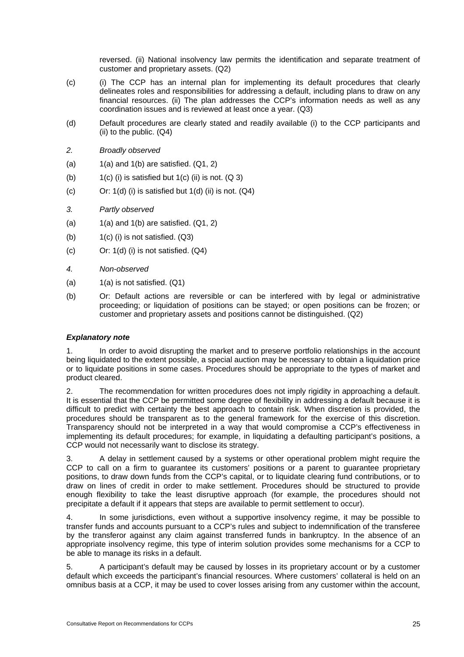reversed. (ii) National insolvency law permits the identification and separate treatment of customer and proprietary assets. (Q2)

- (c) (i) The CCP has an internal plan for implementing its default procedures that clearly delineates roles and responsibilities for addressing a default, including plans to draw on any financial resources. (ii) The plan addresses the CCP's information needs as well as any coordination issues and is reviewed at least once a year. (Q3)
- (d) Default procedures are clearly stated and readily available (i) to the CCP participants and (ii) to the public. (Q4)
- *2. Broadly observed*
- (a)  $1(a)$  and  $1(b)$  are satisfied.  $(Q1, 2)$
- (b)  $1(c)$  (i) is satisfied but  $1(c)$  (ii) is not.  $(Q_3)$
- (c) Or:  $1(d)$  (i) is satisfied but  $1(d)$  (ii) is not.  $(Q4)$
- *3. Partly observed*
- (a)  $1(a)$  and  $1(b)$  are satisfied.  $(Q1, 2)$
- (b)  $1(c)$  (i) is not satisfied.  $(Q3)$
- (c) Or: 1(d) (i) is not satisfied. (Q4)
- *4. Non-observed*
- (a)  $1(a)$  is not satisfied.  $(Q1)$
- (b) Or: Default actions are reversible or can be interfered with by legal or administrative proceeding; or liquidation of positions can be stayed; or open positions can be frozen; or customer and proprietary assets and positions cannot be distinguished. (Q2)

#### *Explanatory note*

1. In order to avoid disrupting the market and to preserve portfolio relationships in the account being liquidated to the extent possible, a special auction may be necessary to obtain a liquidation price or to liquidate positions in some cases. Procedures should be appropriate to the types of market and product cleared.

2. The recommendation for written procedures does not imply rigidity in approaching a default. It is essential that the CCP be permitted some degree of flexibility in addressing a default because it is difficult to predict with certainty the best approach to contain risk. When discretion is provided, the procedures should be transparent as to the general framework for the exercise of this discretion. Transparency should not be interpreted in a way that would compromise a CCP's effectiveness in implementing its default procedures; for example, in liquidating a defaulting participant's positions, a CCP would not necessarily want to disclose its strategy.

3. A delay in settlement caused by a systems or other operational problem might require the CCP to call on a firm to guarantee its customers' positions or a parent to guarantee proprietary positions, to draw down funds from the CCP's capital, or to liquidate clearing fund contributions, or to draw on lines of credit in order to make settlement. Procedures should be structured to provide enough flexibility to take the least disruptive approach (for example, the procedures should not precipitate a default if it appears that steps are available to permit settlement to occur).

4. In some jurisdictions, even without a supportive insolvency regime, it may be possible to transfer funds and accounts pursuant to a CCP's rules and subject to indemnification of the transferee by the transferor against any claim against transferred funds in bankruptcy. In the absence of an appropriate insolvency regime, this type of interim solution provides some mechanisms for a CCP to be able to manage its risks in a default.

5. A participant's default may be caused by losses in its proprietary account or by a customer default which exceeds the participant's financial resources. Where customers' collateral is held on an omnibus basis at a CCP, it may be used to cover losses arising from any customer within the account,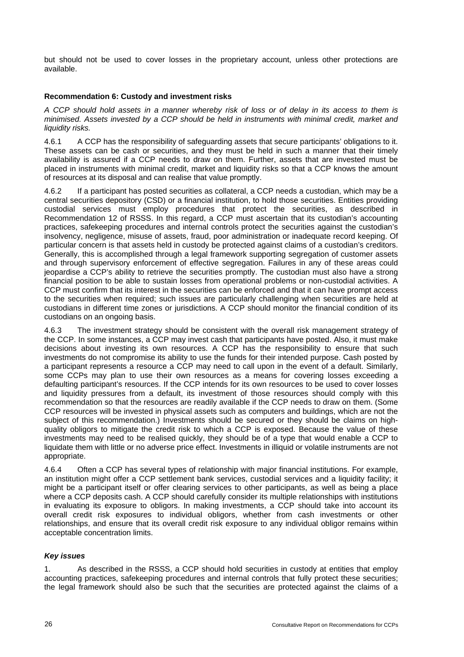but should not be used to cover losses in the proprietary account, unless other protections are available.

#### **Recommendation 6: Custody and investment risks**

*A CCP should hold assets in a manner whereby risk of loss or of delay in its access to them is minimised. Assets invested by a CCP should be held in instruments with minimal credit, market and liquidity risks.* 

4.6.1 A CCP has the responsibility of safeguarding assets that secure participants' obligations to it. These assets can be cash or securities, and they must be held in such a manner that their timely availability is assured if a CCP needs to draw on them. Further, assets that are invested must be placed in instruments with minimal credit, market and liquidity risks so that a CCP knows the amount of resources at its disposal and can realise that value promptly.

4.6.2 If a participant has posted securities as collateral, a CCP needs a custodian, which may be a central securities depository (CSD) or a financial institution, to hold those securities. Entities providing custodial services must employ procedures that protect the securities, as described in Recommendation 12 of RSSS. In this regard, a CCP must ascertain that its custodian's accounting practices, safekeeping procedures and internal controls protect the securities against the custodian's insolvency, negligence, misuse of assets, fraud, poor administration or inadequate record keeping. Of particular concern is that assets held in custody be protected against claims of a custodian's creditors. Generally, this is accomplished through a legal framework supporting segregation of customer assets and through supervisory enforcement of effective segregation. Failures in any of these areas could jeopardise a CCP's ability to retrieve the securities promptly. The custodian must also have a strong financial position to be able to sustain losses from operational problems or non-custodial activities. A CCP must confirm that its interest in the securities can be enforced and that it can have prompt access to the securities when required; such issues are particularly challenging when securities are held at custodians in different time zones or jurisdictions. A CCP should monitor the financial condition of its custodians on an ongoing basis.

The investment strategy should be consistent with the overall risk management strategy of the CCP. In some instances, a CCP may invest cash that participants have posted. Also, it must make decisions about investing its own resources. A CCP has the responsibility to ensure that such investments do not compromise its ability to use the funds for their intended purpose. Cash posted by a participant represents a resource a CCP may need to call upon in the event of a default. Similarly, some CCPs may plan to use their own resources as a means for covering losses exceeding a defaulting participant's resources. If the CCP intends for its own resources to be used to cover losses and liquidity pressures from a default, its investment of those resources should comply with this recommendation so that the resources are readily available if the CCP needs to draw on them. (Some CCP resources will be invested in physical assets such as computers and buildings, which are not the subject of this recommendation.) Investments should be secured or they should be claims on highquality obligors to mitigate the credit risk to which a CCP is exposed. Because the value of these investments may need to be realised quickly, they should be of a type that would enable a CCP to liquidate them with little or no adverse price effect. Investments in illiquid or volatile instruments are not appropriate.

4.6.4 Often a CCP has several types of relationship with major financial institutions. For example, an institution might offer a CCP settlement bank services, custodial services and a liquidity facility; it might be a participant itself or offer clearing services to other participants, as well as being a place where a CCP deposits cash. A CCP should carefully consider its multiple relationships with institutions in evaluating its exposure to obligors. In making investments, a CCP should take into account its overall credit risk exposures to individual obligors, whether from cash investments or other relationships, and ensure that its overall credit risk exposure to any individual obligor remains within acceptable concentration limits.

#### *Key issues*

1. As described in the RSSS, a CCP should hold securities in custody at entities that employ accounting practices, safekeeping procedures and internal controls that fully protect these securities; the legal framework should also be such that the securities are protected against the claims of a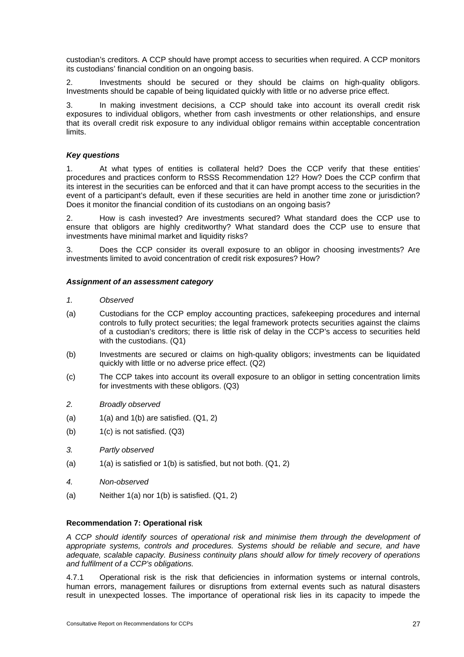custodian's creditors. A CCP should have prompt access to securities when required. A CCP monitors its custodians' financial condition on an ongoing basis.

2. Investments should be secured or they should be claims on high-quality obligors. Investments should be capable of being liquidated quickly with little or no adverse price effect.

In making investment decisions, a CCP should take into account its overall credit risk exposures to individual obligors, whether from cash investments or other relationships, and ensure that its overall credit risk exposure to any individual obligor remains within acceptable concentration limits.

#### *Key questions*

1. At what types of entities is collateral held? Does the CCP verify that these entities' procedures and practices conform to RSSS Recommendation 12? How? Does the CCP confirm that its interest in the securities can be enforced and that it can have prompt access to the securities in the event of a participant's default, even if these securities are held in another time zone or jurisdiction? Does it monitor the financial condition of its custodians on an ongoing basis?

2. How is cash invested? Are investments secured? What standard does the CCP use to ensure that obligors are highly creditworthy? What standard does the CCP use to ensure that investments have minimal market and liquidity risks?

3. Does the CCP consider its overall exposure to an obligor in choosing investments? Are investments limited to avoid concentration of credit risk exposures? How?

#### *Assignment of an assessment category*

#### *1. Observed*

- (a) Custodians for the CCP employ accounting practices, safekeeping procedures and internal controls to fully protect securities; the legal framework protects securities against the claims of a custodian's creditors; there is little risk of delay in the CCP's access to securities held with the custodians. (Q1)
- (b) Investments are secured or claims on high-quality obligors; investments can be liquidated quickly with little or no adverse price effect. (Q2)
- (c) The CCP takes into account its overall exposure to an obligor in setting concentration limits for investments with these obligors. (Q3)
- *2. Broadly observed*
- (a)  $1(a)$  and  $1(b)$  are satisfied.  $(Q1, 2)$
- (b) 1(c) is not satisfied. (Q3)
- *3. Partly observed*
- (a)  $1(a)$  is satisfied or  $1(b)$  is satisfied, but not both.  $(Q1, 2)$
- *4. Non-observed*
- (a) Neither  $1(a)$  nor  $1(b)$  is satisfied.  $(Q1, 2)$

#### **Recommendation 7: Operational risk**

*A CCP should identify sources of operational risk and minimise them through the development of appropriate systems, controls and procedures. Systems should be reliable and secure, and have adequate, scalable capacity. Business continuity plans should allow for timely recovery of operations and fulfilment of a CCP's obligations.* 

4.7.1 Operational risk is the risk that deficiencies in information systems or internal controls, human errors, management failures or disruptions from external events such as natural disasters result in unexpected losses. The importance of operational risk lies in its capacity to impede the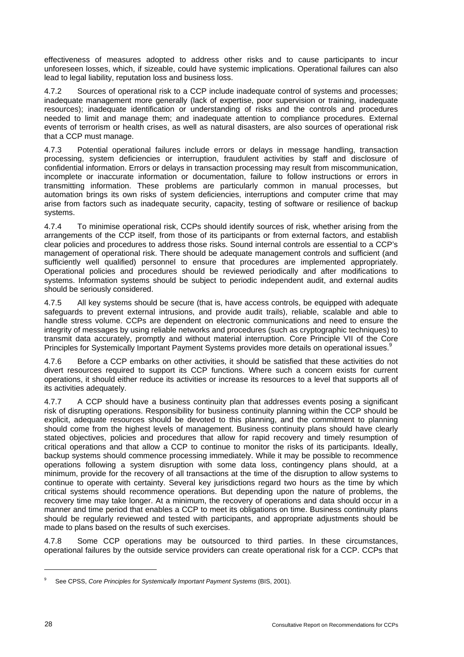effectiveness of measures adopted to address other risks and to cause participants to incur unforeseen losses, which, if sizeable, could have systemic implications. Operational failures can also lead to legal liability, reputation loss and business loss.

4.7.2 Sources of operational risk to a CCP include inadequate control of systems and processes; inadequate management more generally (lack of expertise, poor supervision or training, inadequate resources); inadequate identification or understanding of risks and the controls and procedures needed to limit and manage them; and inadequate attention to compliance procedures. External events of terrorism or health crises, as well as natural disasters, are also sources of operational risk that a CCP must manage.

4.7.3 Potential operational failures include errors or delays in message handling, transaction processing, system deficiencies or interruption, fraudulent activities by staff and disclosure of confidential information. Errors or delays in transaction processing may result from miscommunication, incomplete or inaccurate information or documentation, failure to follow instructions or errors in transmitting information. These problems are particularly common in manual processes, but automation brings its own risks of system deficiencies, interruptions and computer crime that may arise from factors such as inadequate security, capacity, testing of software or resilience of backup systems.

4.7.4 To minimise operational risk, CCPs should identify sources of risk, whether arising from the arrangements of the CCP itself, from those of its participants or from external factors, and establish clear policies and procedures to address those risks. Sound internal controls are essential to a CCP's management of operational risk. There should be adequate management controls and sufficient (and sufficiently well qualified) personnel to ensure that procedures are implemented appropriately. Operational policies and procedures should be reviewed periodically and after modifications to systems. Information systems should be subject to periodic independent audit, and external audits should be seriously considered.

4.7.5 All key systems should be secure (that is, have access controls, be equipped with adequate safeguards to prevent external intrusions, and provide audit trails), reliable, scalable and able to handle stress volume. CCPs are dependent on electronic communications and need to ensure the integrity of messages by using reliable networks and procedures (such as cryptographic techniques) to transmit data accurately, promptly and without material interruption. Core Principle VII of the Core Principles for Systemically Important Payment Systems provides more details on operational issues.<sup>9</sup>

4.7.6 Before a CCP embarks on other activities, it should be satisfied that these activities do not divert resources required to support its CCP functions. Where such a concern exists for current operations, it should either reduce its activities or increase its resources to a level that supports all of its activities adequately.

4.7.7 A CCP should have a business continuity plan that addresses events posing a significant risk of disrupting operations. Responsibility for business continuity planning within the CCP should be explicit, adequate resources should be devoted to this planning, and the commitment to planning should come from the highest levels of management. Business continuity plans should have clearly stated objectives, policies and procedures that allow for rapid recovery and timely resumption of critical operations and that allow a CCP to continue to monitor the risks of its participants. Ideally, backup systems should commence processing immediately. While it may be possible to recommence operations following a system disruption with some data loss, contingency plans should, at a minimum, provide for the recovery of all transactions at the time of the disruption to allow systems to continue to operate with certainty. Several key jurisdictions regard two hours as the time by which critical systems should recommence operations. But depending upon the nature of problems, the recovery time may take longer. At a minimum, the recovery of operations and data should occur in a manner and time period that enables a CCP to meet its obligations on time. Business continuity plans should be regularly reviewed and tested with participants, and appropriate adjustments should be made to plans based on the results of such exercises.

4.7.8 Some CCP operations may be outsourced to third parties. In these circumstances, operational failures by the outside service providers can create operational risk for a CCP. CCPs that

l

 $\mathbf{q}$ See CPSS, *Core Principles for Systemically Important Payment Systems* (BIS, 2001).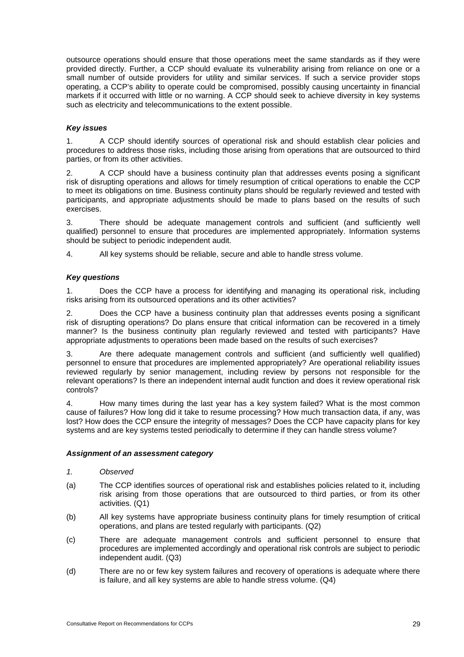outsource operations should ensure that those operations meet the same standards as if they were provided directly. Further, a CCP should evaluate its vulnerability arising from reliance on one or a small number of outside providers for utility and similar services. If such a service provider stops operating, a CCP's ability to operate could be compromised, possibly causing uncertainty in financial markets if it occurred with little or no warning. A CCP should seek to achieve diversity in key systems such as electricity and telecommunications to the extent possible.

## *Key issues*

1. A CCP should identify sources of operational risk and should establish clear policies and procedures to address those risks, including those arising from operations that are outsourced to third parties, or from its other activities.

2. A CCP should have a business continuity plan that addresses events posing a significant risk of disrupting operations and allows for timely resumption of critical operations to enable the CCP to meet its obligations on time. Business continuity plans should be regularly reviewed and tested with participants, and appropriate adjustments should be made to plans based on the results of such exercises.

3. There should be adequate management controls and sufficient (and sufficiently well qualified) personnel to ensure that procedures are implemented appropriately. Information systems should be subject to periodic independent audit.

4. All key systems should be reliable, secure and able to handle stress volume.

# *Key questions*

1. Does the CCP have a process for identifying and managing its operational risk, including risks arising from its outsourced operations and its other activities?

2. Does the CCP have a business continuity plan that addresses events posing a significant risk of disrupting operations? Do plans ensure that critical information can be recovered in a timely manner? Is the business continuity plan regularly reviewed and tested with participants? Have appropriate adjustments to operations been made based on the results of such exercises?

3. Are there adequate management controls and sufficient (and sufficiently well qualified) personnel to ensure that procedures are implemented appropriately? Are operational reliability issues reviewed regularly by senior management, including review by persons not responsible for the relevant operations? Is there an independent internal audit function and does it review operational risk controls?

4. How many times during the last year has a key system failed? What is the most common cause of failures? How long did it take to resume processing? How much transaction data, if any, was lost? How does the CCP ensure the integrity of messages? Does the CCP have capacity plans for key systems and are key systems tested periodically to determine if they can handle stress volume?

#### *Assignment of an assessment category*

- *1. Observed*
- (a) The CCP identifies sources of operational risk and establishes policies related to it, including risk arising from those operations that are outsourced to third parties, or from its other activities. (Q1)
- (b) All key systems have appropriate business continuity plans for timely resumption of critical operations, and plans are tested regularly with participants. (Q2)
- (c) There are adequate management controls and sufficient personnel to ensure that procedures are implemented accordingly and operational risk controls are subject to periodic independent audit. (Q3)
- (d) There are no or few key system failures and recovery of operations is adequate where there is failure, and all key systems are able to handle stress volume. (Q4)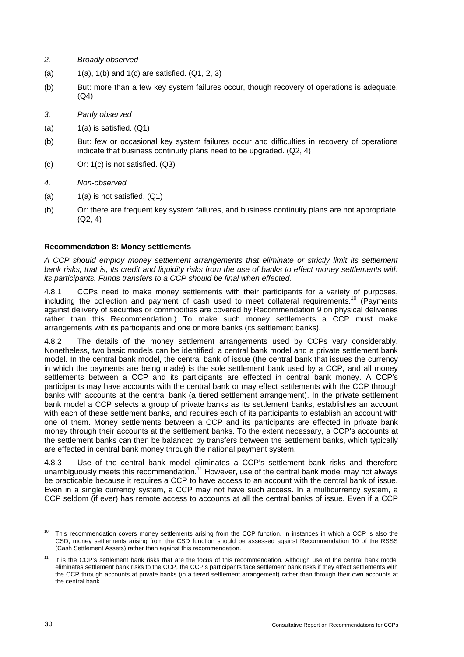- *2. Broadly observed*
- (a)  $1(a)$ , 1(b) and 1(c) are satisfied.  $(Q1, 2, 3)$
- (b) But: more than a few key system failures occur, though recovery of operations is adequate. (Q4)
- *3. Partly observed*
- $(a)$  1(a) is satisfied.  $(Q1)$
- (b) But: few or occasional key system failures occur and difficulties in recovery of operations indicate that business continuity plans need to be upgraded. (Q2, 4)
- (c) Or: 1(c) is not satisfied. (Q3)
- *4. Non-observed*
- $(a)$  1(a) is not satisfied.  $(Q1)$
- (b) Or: there are frequent key system failures, and business continuity plans are not appropriate. (Q2, 4)

#### **Recommendation 8: Money settlements**

*A CCP should employ money settlement arrangements that eliminate or strictly limit its settlement bank risks, that is, its credit and liquidity risks from the use of banks to effect money settlements with its participants. Funds transfers to a CCP should be final when effected.* 

4.8.1 CCPs need to make money settlements with their participants for a variety of purposes, including the collection and payment of cash used to meet collateral requirements.<sup>10</sup> (Payments against delivery of securities or commodities are covered by Recommendation 9 on physical deliveries rather than this Recommendation.) To make such money settlements a CCP must make arrangements with its participants and one or more banks (its settlement banks).

4.8.2 The details of the money settlement arrangements used by CCPs vary considerably. Nonetheless, two basic models can be identified: a central bank model and a private settlement bank model. In the central bank model, the central bank of issue (the central bank that issues the currency in which the payments are being made) is the sole settlement bank used by a CCP, and all money settlements between a CCP and its participants are effected in central bank money. A CCP's participants may have accounts with the central bank or may effect settlements with the CCP through banks with accounts at the central bank (a tiered settlement arrangement). In the private settlement bank model a CCP selects a group of private banks as its settlement banks, establishes an account with each of these settlement banks, and requires each of its participants to establish an account with one of them. Money settlements between a CCP and its participants are effected in private bank money through their accounts at the settlement banks. To the extent necessary, a CCP's accounts at the settlement banks can then be balanced by transfers between the settlement banks, which typically are effected in central bank money through the national payment system.

4.8.3 Use of the central bank model eliminates a CCP's settlement bank risks and therefore unambiguously meets this recommendation.<sup>11</sup> However, use of the central bank model may not always be practicable because it requires a CCP to have access to an account with the central bank of issue. Even in a single currency system, a CCP may not have such access. In a multicurrency system, a CCP seldom (if ever) has remote access to accounts at all the central banks of issue. Even if a CCP

l

<sup>&</sup>lt;sup>10</sup> This recommendation covers money settlements arising from the CCP function. In instances in which a CCP is also the CSD, money settlements arising from the CSD function should be assessed against Recommendation 10 of the RSSS (Cash Settlement Assets) rather than against this recommendation.

It is the CCP's settlement bank risks that are the focus of this recommendation. Although use of the central bank model eliminates settlement bank risks to the CCP, the CCP's participants face settlement bank risks if they effect settlements with the CCP through accounts at private banks (in a tiered settlement arrangement) rather than through their own accounts at the central bank.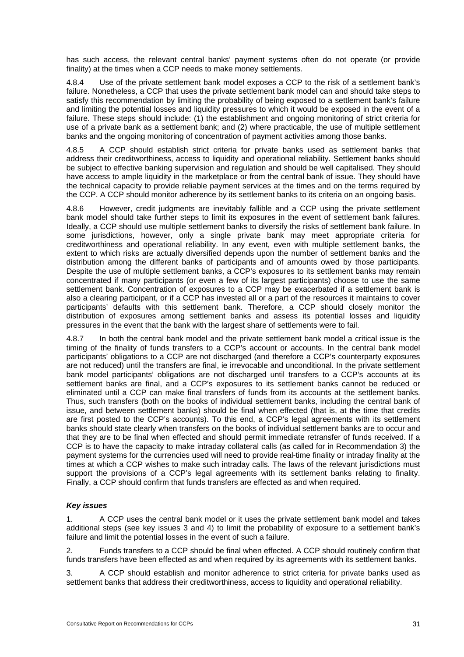has such access, the relevant central banks' payment systems often do not operate (or provide finality) at the times when a CCP needs to make money settlements.

4.8.4 Use of the private settlement bank model exposes a CCP to the risk of a settlement bank's failure. Nonetheless, a CCP that uses the private settlement bank model can and should take steps to satisfy this recommendation by limiting the probability of being exposed to a settlement bank's failure and limiting the potential losses and liquidity pressures to which it would be exposed in the event of a failure. These steps should include: (1) the establishment and ongoing monitoring of strict criteria for use of a private bank as a settlement bank; and (2) where practicable, the use of multiple settlement banks and the ongoing monitoring of concentration of payment activities among those banks.

4.8.5 A CCP should establish strict criteria for private banks used as settlement banks that address their creditworthiness, access to liquidity and operational reliability. Settlement banks should be subject to effective banking supervision and regulation and should be well capitalised. They should have access to ample liquidity in the marketplace or from the central bank of issue. They should have the technical capacity to provide reliable payment services at the times and on the terms required by the CCP. A CCP should monitor adherence by its settlement banks to its criteria on an ongoing basis.

4.8.6 However, credit judgments are inevitably fallible and a CCP using the private settlement bank model should take further steps to limit its exposures in the event of settlement bank failures. Ideally, a CCP should use multiple settlement banks to diversify the risks of settlement bank failure. In some jurisdictions, however, only a single private bank may meet appropriate criteria for creditworthiness and operational reliability. In any event, even with multiple settlement banks, the extent to which risks are actually diversified depends upon the number of settlement banks and the distribution among the different banks of participants and of amounts owed by those participants. Despite the use of multiple settlement banks, a CCP's exposures to its settlement banks may remain concentrated if many participants (or even a few of its largest participants) choose to use the same settlement bank. Concentration of exposures to a CCP may be exacerbated if a settlement bank is also a clearing participant, or if a CCP has invested all or a part of the resources it maintains to cover participants' defaults with this settlement bank. Therefore, a CCP should closely monitor the distribution of exposures among settlement banks and assess its potential losses and liquidity pressures in the event that the bank with the largest share of settlements were to fail.

4.8.7 In both the central bank model and the private settlement bank model a critical issue is the timing of the finality of funds transfers to a CCP's account or accounts. In the central bank model participants' obligations to a CCP are not discharged (and therefore a CCP's counterparty exposures are not reduced) until the transfers are final, ie irrevocable and unconditional. In the private settlement bank model participants' obligations are not discharged until transfers to a CCP's accounts at its settlement banks are final, and a CCP's exposures to its settlement banks cannot be reduced or eliminated until a CCP can make final transfers of funds from its accounts at the settlement banks. Thus, such transfers (both on the books of individual settlement banks, including the central bank of issue, and between settlement banks) should be final when effected (that is, at the time that credits are first posted to the CCP's accounts). To this end, a CCP's legal agreements with its settlement banks should state clearly when transfers on the books of individual settlement banks are to occur and that they are to be final when effected and should permit immediate retransfer of funds received. If a CCP is to have the capacity to make intraday collateral calls (as called for in Recommendation 3) the payment systems for the currencies used will need to provide real-time finality or intraday finality at the times at which a CCP wishes to make such intraday calls. The laws of the relevant jurisdictions must support the provisions of a CCP's legal agreements with its settlement banks relating to finality. Finally, a CCP should confirm that funds transfers are effected as and when required.

#### *Key issues*

1. A CCP uses the central bank model or it uses the private settlement bank model and takes additional steps (see key issues 3 and 4) to limit the probability of exposure to a settlement bank's failure and limit the potential losses in the event of such a failure.

2. Funds transfers to a CCP should be final when effected. A CCP should routinely confirm that funds transfers have been effected as and when required by its agreements with its settlement banks.

3. A CCP should establish and monitor adherence to strict criteria for private banks used as settlement banks that address their creditworthiness, access to liquidity and operational reliability.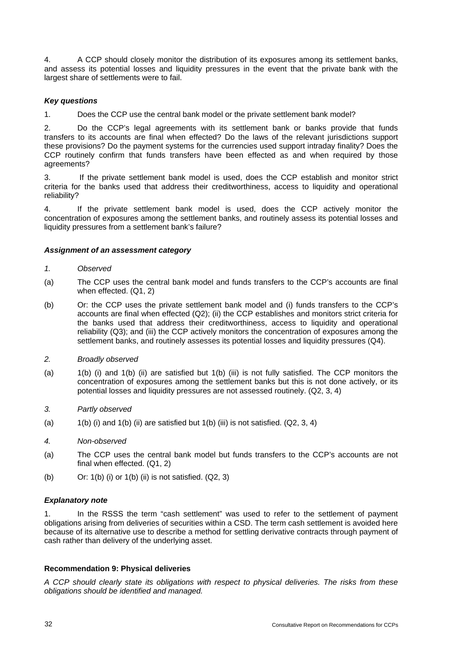4. A CCP should closely monitor the distribution of its exposures among its settlement banks, and assess its potential losses and liquidity pressures in the event that the private bank with the largest share of settlements were to fail.

# *Key questions*

1. Does the CCP use the central bank model or the private settlement bank model?

2. Do the CCP's legal agreements with its settlement bank or banks provide that funds transfers to its accounts are final when effected? Do the laws of the relevant jurisdictions support these provisions? Do the payment systems for the currencies used support intraday finality? Does the CCP routinely confirm that funds transfers have been effected as and when required by those agreements?

3. If the private settlement bank model is used, does the CCP establish and monitor strict criteria for the banks used that address their creditworthiness, access to liquidity and operational reliability?

4. If the private settlement bank model is used, does the CCP actively monitor the concentration of exposures among the settlement banks, and routinely assess its potential losses and liquidity pressures from a settlement bank's failure?

#### *Assignment of an assessment category*

#### *1. Observed*

- (a) The CCP uses the central bank model and funds transfers to the CCP's accounts are final when effected. (Q1, 2)
- (b) Or: the CCP uses the private settlement bank model and (i) funds transfers to the CCP's accounts are final when effected (Q2); (ii) the CCP establishes and monitors strict criteria for the banks used that address their creditworthiness, access to liquidity and operational reliability (Q3); and (iii) the CCP actively monitors the concentration of exposures among the settlement banks, and routinely assesses its potential losses and liquidity pressures (Q4).

#### *2. Broadly observed*

- (a) 1(b) (i) and 1(b) (ii) are satisfied but 1(b) (iii) is not fully satisfied. The CCP monitors the concentration of exposures among the settlement banks but this is not done actively, or its potential losses and liquidity pressures are not assessed routinely. (Q2, 3, 4)
- *3. Partly observed*
- (a)  $1(b)$  (i) and  $1(b)$  (ii) are satisfied but  $1(b)$  (iii) is not satisfied. (Q2, 3, 4)
- *4. Non-observed*
- (a) The CCP uses the central bank model but funds transfers to the CCP's accounts are not final when effected. (Q1, 2)
- (b) Or: 1(b) (i) or 1(b) (ii) is not satisfied. (Q2, 3)

#### *Explanatory note*

1. In the RSSS the term "cash settlement" was used to refer to the settlement of payment obligations arising from deliveries of securities within a CSD. The term cash settlement is avoided here because of its alternative use to describe a method for settling derivative contracts through payment of cash rather than delivery of the underlying asset.

#### **Recommendation 9: Physical deliveries**

*A CCP should clearly state its obligations with respect to physical deliveries. The risks from these obligations should be identified and managed.*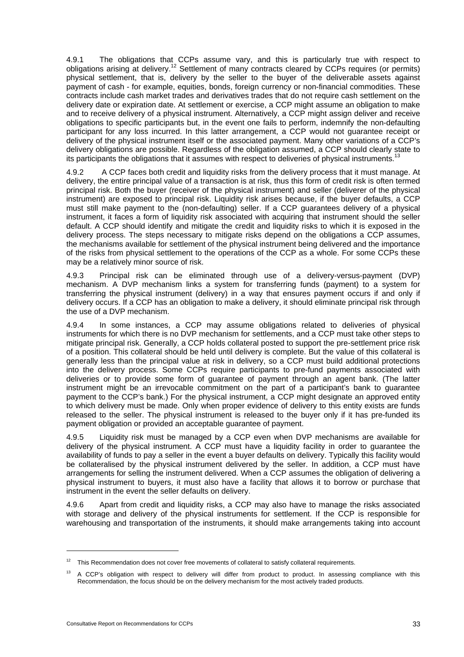4.9.1 The obligations that CCPs assume vary, and this is particularly true with respect to obligations arising at delivery.12 Settlement of many contracts cleared by CCPs requires (or permits) physical settlement, that is, delivery by the seller to the buyer of the deliverable assets against payment of cash - for example, equities, bonds, foreign currency or non-financial commodities. These contracts include cash market trades and derivatives trades that do not require cash settlement on the delivery date or expiration date. At settlement or exercise, a CCP might assume an obligation to make and to receive delivery of a physical instrument. Alternatively, a CCP might assign deliver and receive obligations to specific participants but, in the event one fails to perform, indemnify the non-defaulting participant for any loss incurred. In this latter arrangement, a CCP would not guarantee receipt or delivery of the physical instrument itself or the associated payment. Many other variations of a CCP's delivery obligations are possible. Regardless of the obligation assumed, a CCP should clearly state to its participants the obligations that it assumes with respect to deliveries of physical instruments.<sup>1</sup>

4.9.2 A CCP faces both credit and liquidity risks from the delivery process that it must manage. At delivery, the entire principal value of a transaction is at risk, thus this form of credit risk is often termed principal risk. Both the buyer (receiver of the physical instrument) and seller (deliverer of the physical instrument) are exposed to principal risk. Liquidity risk arises because, if the buyer defaults, a CCP must still make payment to the (non-defaulting) seller. If a CCP guarantees delivery of a physical instrument, it faces a form of liquidity risk associated with acquiring that instrument should the seller default. A CCP should identify and mitigate the credit and liquidity risks to which it is exposed in the delivery process. The steps necessary to mitigate risks depend on the obligations a CCP assumes, the mechanisms available for settlement of the physical instrument being delivered and the importance of the risks from physical settlement to the operations of the CCP as a whole. For some CCPs these may be a relatively minor source of risk.

4.9.3 Principal risk can be eliminated through use of a delivery-versus-payment (DVP) mechanism. A DVP mechanism links a system for transferring funds (payment) to a system for transferring the physical instrument (delivery) in a way that ensures payment occurs if and only if delivery occurs. If a CCP has an obligation to make a delivery, it should eliminate principal risk through the use of a DVP mechanism.

4.9.4 In some instances, a CCP may assume obligations related to deliveries of physical instruments for which there is no DVP mechanism for settlements, and a CCP must take other steps to mitigate principal risk. Generally, a CCP holds collateral posted to support the pre-settlement price risk of a position. This collateral should be held until delivery is complete. But the value of this collateral is generally less than the principal value at risk in delivery, so a CCP must build additional protections into the delivery process. Some CCPs require participants to pre-fund payments associated with deliveries or to provide some form of guarantee of payment through an agent bank. (The latter instrument might be an irrevocable commitment on the part of a participant's bank to guarantee payment to the CCP's bank.) For the physical instrument, a CCP might designate an approved entity to which delivery must be made. Only when proper evidence of delivery to this entity exists are funds released to the seller. The physical instrument is released to the buyer only if it has pre-funded its payment obligation or provided an acceptable guarantee of payment.

4.9.5 Liquidity risk must be managed by a CCP even when DVP mechanisms are available for delivery of the physical instrument. A CCP must have a liquidity facility in order to guarantee the availability of funds to pay a seller in the event a buyer defaults on delivery. Typically this facility would be collateralised by the physical instrument delivered by the seller. In addition, a CCP must have arrangements for selling the instrument delivered. When a CCP assumes the obligation of delivering a physical instrument to buyers, it must also have a facility that allows it to borrow or purchase that instrument in the event the seller defaults on delivery.

4.9.6 Apart from credit and liquidity risks, a CCP may also have to manage the risks associated with storage and delivery of the physical instruments for settlement. If the CCP is responsible for warehousing and transportation of the instruments, it should make arrangements taking into account

 $\overline{a}$ 

This Recommendation does not cover free movements of collateral to satisfy collateral requirements.

<sup>&</sup>lt;sup>13</sup> A CCP's obligation with respect to delivery will differ from product to product. In assessing compliance with this Recommendation, the focus should be on the delivery mechanism for the most actively traded products.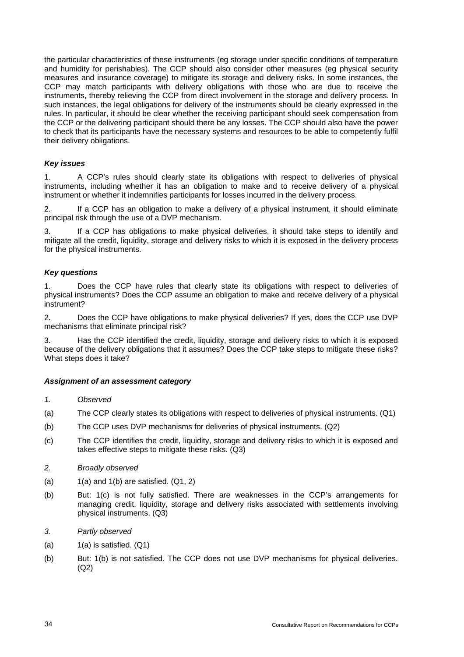the particular characteristics of these instruments (eg storage under specific conditions of temperature and humidity for perishables). The CCP should also consider other measures (eg physical security measures and insurance coverage) to mitigate its storage and delivery risks. In some instances, the CCP may match participants with delivery obligations with those who are due to receive the instruments, thereby relieving the CCP from direct involvement in the storage and delivery process. In such instances, the legal obligations for delivery of the instruments should be clearly expressed in the rules. In particular, it should be clear whether the receiving participant should seek compensation from the CCP or the delivering participant should there be any losses. The CCP should also have the power to check that its participants have the necessary systems and resources to be able to competently fulfil their delivery obligations.

#### *Key issues*

1. A CCP's rules should clearly state its obligations with respect to deliveries of physical instruments, including whether it has an obligation to make and to receive delivery of a physical instrument or whether it indemnifies participants for losses incurred in the delivery process.

2. If a CCP has an obligation to make a delivery of a physical instrument, it should eliminate principal risk through the use of a DVP mechanism.

3. If a CCP has obligations to make physical deliveries, it should take steps to identify and mitigate all the credit, liquidity, storage and delivery risks to which it is exposed in the delivery process for the physical instruments.

#### *Key questions*

1. Does the CCP have rules that clearly state its obligations with respect to deliveries of physical instruments? Does the CCP assume an obligation to make and receive delivery of a physical instrument?

2. Does the CCP have obligations to make physical deliveries? If yes, does the CCP use DVP mechanisms that eliminate principal risk?

3. Has the CCP identified the credit, liquidity, storage and delivery risks to which it is exposed because of the delivery obligations that it assumes? Does the CCP take steps to mitigate these risks? What steps does it take?

#### *Assignment of an assessment category*

- *1. Observed*
- (a) The CCP clearly states its obligations with respect to deliveries of physical instruments. (Q1)
- (b) The CCP uses DVP mechanisms for deliveries of physical instruments. (Q2)
- (c) The CCP identifies the credit, liquidity, storage and delivery risks to which it is exposed and takes effective steps to mitigate these risks. (Q3)

#### *2. Broadly observed*

- (a)  $1(a)$  and  $1(b)$  are satisfied.  $(Q1, 2)$
- (b) But: 1(c) is not fully satisfied. There are weaknesses in the CCP's arrangements for managing credit, liquidity, storage and delivery risks associated with settlements involving physical instruments. (Q3)
- *3. Partly observed*
- $(a)$  1(a) is satisfied.  $(Q1)$
- (b) But: 1(b) is not satisfied. The CCP does not use DVP mechanisms for physical deliveries. (Q2)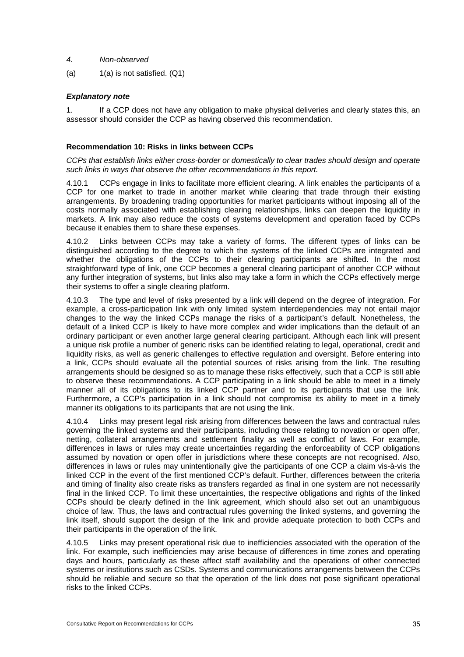- *4. Non-observed*
- (a)  $1(a)$  is not satisfied.  $(Q1)$

## *Explanatory note*

1. If a CCP does not have any obligation to make physical deliveries and clearly states this, an assessor should consider the CCP as having observed this recommendation.

#### **Recommendation 10: Risks in links between CCPs**

*CCPs that establish links either cross-border or domestically to clear trades should design and operate such links in ways that observe the other recommendations in this report.* 

4.10.1 CCPs engage in links to facilitate more efficient clearing. A link enables the participants of a CCP for one market to trade in another market while clearing that trade through their existing arrangements. By broadening trading opportunities for market participants without imposing all of the costs normally associated with establishing clearing relationships, links can deepen the liquidity in markets. A link may also reduce the costs of systems development and operation faced by CCPs because it enables them to share these expenses.

4.10.2 Links between CCPs may take a variety of forms. The different types of links can be distinguished according to the degree to which the systems of the linked CCPs are integrated and whether the obligations of the CCPs to their clearing participants are shifted. In the most straightforward type of link, one CCP becomes a general clearing participant of another CCP without any further integration of systems, but links also may take a form in which the CCPs effectively merge their systems to offer a single clearing platform.

4.10.3 The type and level of risks presented by a link will depend on the degree of integration. For example, a cross-participation link with only limited system interdependencies may not entail major changes to the way the linked CCPs manage the risks of a participant's default. Nonetheless, the default of a linked CCP is likely to have more complex and wider implications than the default of an ordinary participant or even another large general clearing participant. Although each link will present a unique risk profile a number of generic risks can be identified relating to legal, operational, credit and liquidity risks, as well as generic challenges to effective regulation and oversight. Before entering into a link, CCPs should evaluate all the potential sources of risks arising from the link. The resulting arrangements should be designed so as to manage these risks effectively, such that a CCP is still able to observe these recommendations. A CCP participating in a link should be able to meet in a timely manner all of its obligations to its linked CCP partner and to its participants that use the link. Furthermore, a CCP's participation in a link should not compromise its ability to meet in a timely manner its obligations to its participants that are not using the link.

4.10.4 Links may present legal risk arising from differences between the laws and contractual rules governing the linked systems and their participants, including those relating to novation or open offer, netting, collateral arrangements and settlement finality as well as conflict of laws. For example, differences in laws or rules may create uncertainties regarding the enforceability of CCP obligations assumed by novation or open offer in jurisdictions where these concepts are not recognised. Also, differences in laws or rules may unintentionally give the participants of one CCP a claim vis-à-vis the linked CCP in the event of the first mentioned CCP's default. Further, differences between the criteria and timing of finality also create risks as transfers regarded as final in one system are not necessarily final in the linked CCP. To limit these uncertainties, the respective obligations and rights of the linked CCPs should be clearly defined in the link agreement, which should also set out an unambiguous choice of law. Thus, the laws and contractual rules governing the linked systems, and governing the link itself, should support the design of the link and provide adequate protection to both CCPs and their participants in the operation of the link.

4.10.5 Links may present operational risk due to inefficiencies associated with the operation of the link. For example, such inefficiencies may arise because of differences in time zones and operating days and hours, particularly as these affect staff availability and the operations of other connected systems or institutions such as CSDs. Systems and communications arrangements between the CCPs should be reliable and secure so that the operation of the link does not pose significant operational risks to the linked CCPs.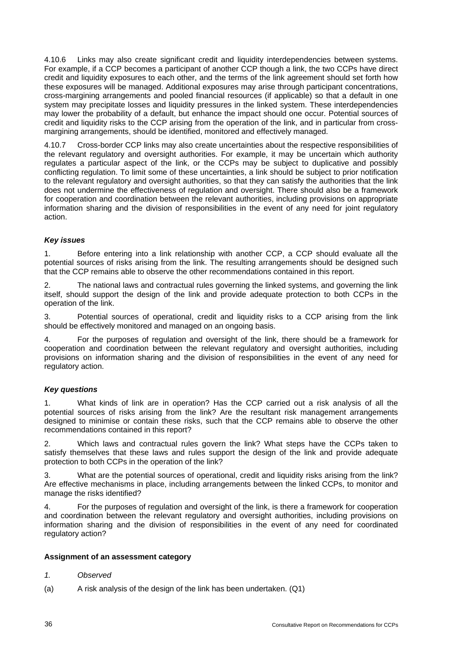4.10.6 Links may also create significant credit and liquidity interdependencies between systems. For example, if a CCP becomes a participant of another CCP though a link, the two CCPs have direct credit and liquidity exposures to each other, and the terms of the link agreement should set forth how these exposures will be managed. Additional exposures may arise through participant concentrations, cross-margining arrangements and pooled financial resources (if applicable) so that a default in one system may precipitate losses and liquidity pressures in the linked system. These interdependencies may lower the probability of a default, but enhance the impact should one occur. Potential sources of credit and liquidity risks to the CCP arising from the operation of the link, and in particular from crossmargining arrangements, should be identified, monitored and effectively managed.

4.10.7 Cross-border CCP links may also create uncertainties about the respective responsibilities of the relevant regulatory and oversight authorities. For example, it may be uncertain which authority regulates a particular aspect of the link, or the CCPs may be subject to duplicative and possibly conflicting regulation. To limit some of these uncertainties, a link should be subject to prior notification to the relevant regulatory and oversight authorities, so that they can satisfy the authorities that the link does not undermine the effectiveness of regulation and oversight. There should also be a framework for cooperation and coordination between the relevant authorities, including provisions on appropriate information sharing and the division of responsibilities in the event of any need for joint regulatory action.

# *Key issues*

1. Before entering into a link relationship with another CCP, a CCP should evaluate all the potential sources of risks arising from the link. The resulting arrangements should be designed such that the CCP remains able to observe the other recommendations contained in this report.

2. The national laws and contractual rules governing the linked systems, and governing the link itself, should support the design of the link and provide adequate protection to both CCPs in the operation of the link.

3. Potential sources of operational, credit and liquidity risks to a CCP arising from the link should be effectively monitored and managed on an ongoing basis.

4. For the purposes of regulation and oversight of the link, there should be a framework for cooperation and coordination between the relevant regulatory and oversight authorities, including provisions on information sharing and the division of responsibilities in the event of any need for regulatory action.

#### *Key questions*

1. What kinds of link are in operation? Has the CCP carried out a risk analysis of all the potential sources of risks arising from the link? Are the resultant risk management arrangements designed to minimise or contain these risks, such that the CCP remains able to observe the other recommendations contained in this report?

2. Which laws and contractual rules govern the link? What steps have the CCPs taken to satisfy themselves that these laws and rules support the design of the link and provide adequate protection to both CCPs in the operation of the link?

3. What are the potential sources of operational, credit and liquidity risks arising from the link? Are effective mechanisms in place, including arrangements between the linked CCPs, to monitor and manage the risks identified?

4. For the purposes of regulation and oversight of the link, is there a framework for cooperation and coordination between the relevant regulatory and oversight authorities, including provisions on information sharing and the division of responsibilities in the event of any need for coordinated regulatory action?

#### **Assignment of an assessment category**

- *1. Observed*
- (a) A risk analysis of the design of the link has been undertaken. (Q1)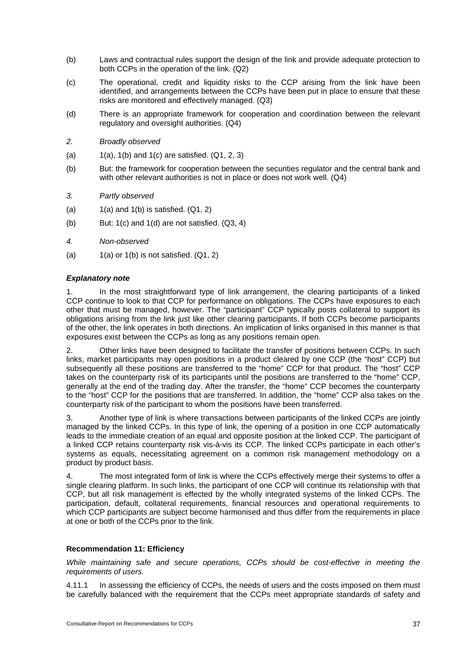- (b) Laws and contractual rules support the design of the link and provide adequate protection to both CCPs in the operation of the link. (Q2)
- (c) The operational, credit and liquidity risks to the CCP arising from the link have been identified, and arrangements between the CCPs have been put in place to ensure that these risks are monitored and effectively managed. (Q3)
- (d) There is an appropriate framework for cooperation and coordination between the relevant regulatory and oversight authorities. (Q4)
- *2. Broadly observed*
- (a)  $1(a)$ ,  $1(b)$  and  $1(c)$  are satisfied.  $(Q1, 2, 3)$
- (b) But: the framework for cooperation between the securities regulator and the central bank and with other relevant authorities is not in place or does not work well. (Q4)
- *3. Partly observed*
- (a)  $1(a)$  and  $1(b)$  is satisfied.  $(Q1, 2)$
- $(b)$  But: 1(c) and 1(d) are not satisfied.  $(Q3, 4)$
- *4. Non-observed*
- (a)  $1(a)$  or  $1(b)$  is not satisfied.  $(Q1, 2)$

#### *Explanatory note*

1. In the most straightforward type of link arrangement, the clearing participants of a linked CCP continue to look to that CCP for performance on obligations. The CCPs have exposures to each other that must be managed, however. The "participant" CCP typically posts collateral to support its obligations arising from the link just like other clearing participants. If both CCPs become participants of the other, the link operates in both directions. An implication of links organised in this manner is that exposures exist between the CCPs as long as any positions remain open.

2. Other links have been designed to facilitate the transfer of positions between CCPs. In such links, market participants may open positions in a product cleared by one CCP (the "host" CCP) but subsequently all these positions are transferred to the "home" CCP for that product. The "host" CCP takes on the counterparty risk of its participants until the positions are transferred to the "home" CCP, generally at the end of the trading day. After the transfer, the "home" CCP becomes the counterparty to the "host" CCP for the positions that are transferred. In addition, the "home" CCP also takes on the counterparty risk of the participant to whom the positions have been transferred.

3. Another type of link is where transactions between participants of the linked CCPs are jointly managed by the linked CCPs. In this type of link, the opening of a position in one CCP automatically leads to the immediate creation of an equal and opposite position at the linked CCP. The participant of a linked CCP retains counterparty risk vis-à-vis its CCP. The linked CCPs participate in each other's systems as equals, necessitating agreement on a common risk management methodology on a product by product basis.

4. The most integrated form of link is where the CCPs effectively merge their systems to offer a single clearing platform. In such links, the participant of one CCP will continue its relationship with that CCP, but all risk management is effected by the wholly integrated systems of the linked CCPs. The participation, default, collateral requirements, financial resources and operational requirements to which CCP participants are subject become harmonised and thus differ from the requirements in place at one or both of the CCPs prior to the link.

# **Recommendation 11: Efficiency**

*While maintaining safe and secure operations, CCPs should be cost-effective in meeting the requirements of users.* 

4.11.1 In assessing the efficiency of CCPs, the needs of users and the costs imposed on them must be carefully balanced with the requirement that the CCPs meet appropriate standards of safety and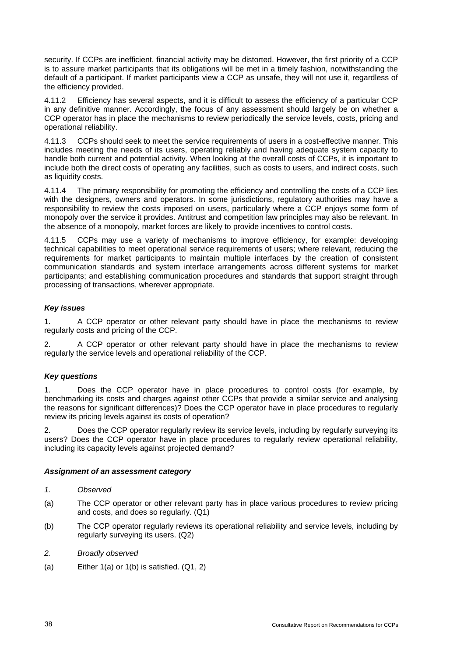security. If CCPs are inefficient, financial activity may be distorted. However, the first priority of a CCP is to assure market participants that its obligations will be met in a timely fashion, notwithstanding the default of a participant. If market participants view a CCP as unsafe, they will not use it, regardless of the efficiency provided.

4.11.2 Efficiency has several aspects, and it is difficult to assess the efficiency of a particular CCP in any definitive manner. Accordingly, the focus of any assessment should largely be on whether a CCP operator has in place the mechanisms to review periodically the service levels, costs, pricing and operational reliability.

4.11.3 CCPs should seek to meet the service requirements of users in a cost-effective manner. This includes meeting the needs of its users, operating reliably and having adequate system capacity to handle both current and potential activity. When looking at the overall costs of CCPs, it is important to include both the direct costs of operating any facilities, such as costs to users, and indirect costs, such as liquidity costs.

4.11.4 The primary responsibility for promoting the efficiency and controlling the costs of a CCP lies with the designers, owners and operators. In some jurisdictions, regulatory authorities may have a responsibility to review the costs imposed on users, particularly where a CCP enjoys some form of monopoly over the service it provides. Antitrust and competition law principles may also be relevant. In the absence of a monopoly, market forces are likely to provide incentives to control costs.

4.11.5 CCPs may use a variety of mechanisms to improve efficiency, for example: developing technical capabilities to meet operational service requirements of users; where relevant, reducing the requirements for market participants to maintain multiple interfaces by the creation of consistent communication standards and system interface arrangements across different systems for market participants; and establishing communication procedures and standards that support straight through processing of transactions, wherever appropriate.

# *Key issues*

1. A CCP operator or other relevant party should have in place the mechanisms to review regularly costs and pricing of the CCP.

2. A CCP operator or other relevant party should have in place the mechanisms to review regularly the service levels and operational reliability of the CCP.

#### *Key questions*

1. Does the CCP operator have in place procedures to control costs (for example, by benchmarking its costs and charges against other CCPs that provide a similar service and analysing the reasons for significant differences)? Does the CCP operator have in place procedures to regularly review its pricing levels against its costs of operation?

2. Does the CCP operator regularly review its service levels, including by regularly surveying its users? Does the CCP operator have in place procedures to regularly review operational reliability, including its capacity levels against projected demand?

#### *Assignment of an assessment category*

- *1. Observed*
- (a) The CCP operator or other relevant party has in place various procedures to review pricing and costs, and does so regularly. (Q1)
- (b) The CCP operator regularly reviews its operational reliability and service levels, including by regularly surveying its users. (Q2)
- *2. Broadly observed*
- (a) Either 1(a) or 1(b) is satisfied. (Q1, 2)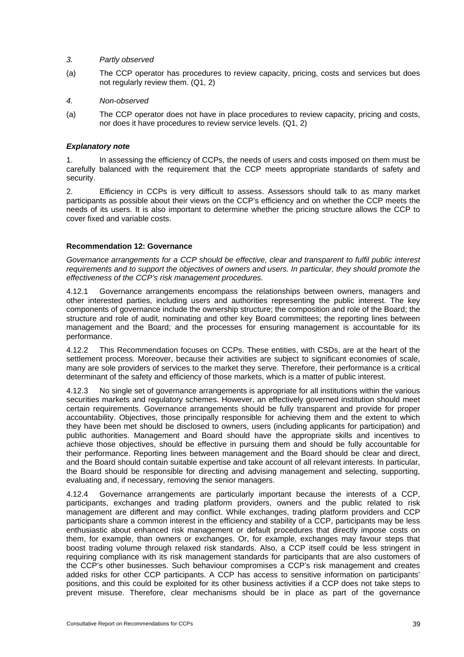#### *3. Partly observed*

- (a) The CCP operator has procedures to review capacity, pricing, costs and services but does not regularly review them. (Q1, 2)
- *4. Non-observed*
- (a) The CCP operator does not have in place procedures to review capacity, pricing and costs, nor does it have procedures to review service levels. (Q1, 2)

#### *Explanatory note*

1. In assessing the efficiency of CCPs, the needs of users and costs imposed on them must be carefully balanced with the requirement that the CCP meets appropriate standards of safety and security.

2. Efficiency in CCPs is very difficult to assess. Assessors should talk to as many market participants as possible about their views on the CCP's efficiency and on whether the CCP meets the needs of its users. It is also important to determine whether the pricing structure allows the CCP to cover fixed and variable costs.

#### **Recommendation 12: Governance**

*Governance arrangements for a CCP should be effective, clear and transparent to fulfil public interest requirements and to support the objectives of owners and users. In particular, they should promote the effectiveness of the CCP's risk management procedures.* 

4.12.1 Governance arrangements encompass the relationships between owners, managers and other interested parties, including users and authorities representing the public interest. The key components of governance include the ownership structure; the composition and role of the Board; the structure and role of audit, nominating and other key Board committees; the reporting lines between management and the Board; and the processes for ensuring management is accountable for its performance.

4.12.2 This Recommendation focuses on CCPs. These entities, with CSDs, are at the heart of the settlement process. Moreover, because their activities are subject to significant economies of scale, many are sole providers of services to the market they serve. Therefore, their performance is a critical determinant of the safety and efficiency of those markets, which is a matter of public interest.

4.12.3 No single set of governance arrangements is appropriate for all institutions within the various securities markets and regulatory schemes. However, an effectively governed institution should meet certain requirements. Governance arrangements should be fully transparent and provide for proper accountability. Objectives, those principally responsible for achieving them and the extent to which they have been met should be disclosed to owners, users (including applicants for participation) and public authorities. Management and Board should have the appropriate skills and incentives to achieve those objectives, should be effective in pursuing them and should be fully accountable for their performance. Reporting lines between management and the Board should be clear and direct, and the Board should contain suitable expertise and take account of all relevant interests. In particular, the Board should be responsible for directing and advising management and selecting, supporting, evaluating and, if necessary, removing the senior managers.

4.12.4 Governance arrangements are particularly important because the interests of a CCP, participants, exchanges and trading platform providers, owners and the public related to risk management are different and may conflict. While exchanges, trading platform providers and CCP participants share a common interest in the efficiency and stability of a CCP, participants may be less enthusiastic about enhanced risk management or default procedures that directly impose costs on them, for example, than owners or exchanges. Or, for example, exchanges may favour steps that boost trading volume through relaxed risk standards. Also, a CCP itself could be less stringent in requiring compliance with its risk management standards for participants that are also customers of the CCP's other businesses. Such behaviour compromises a CCP's risk management and creates added risks for other CCP participants. A CCP has access to sensitive information on participants' positions, and this could be exploited for its other business activities if a CCP does not take steps to prevent misuse. Therefore, clear mechanisms should be in place as part of the governance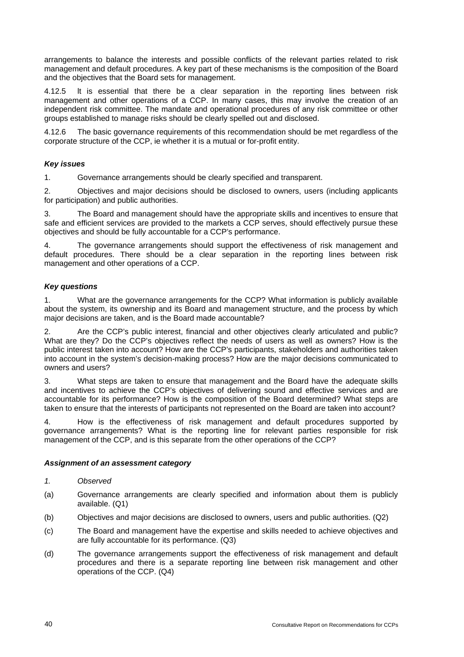arrangements to balance the interests and possible conflicts of the relevant parties related to risk management and default procedures. A key part of these mechanisms is the composition of the Board and the objectives that the Board sets for management.

4.12.5 lt is essential that there be a clear separation in the reporting lines between risk management and other operations of a CCP. In many cases, this may involve the creation of an independent risk committee. The mandate and operational procedures of any risk committee or other groups established to manage risks should be clearly spelled out and disclosed.

4.12.6 The basic governance requirements of this recommendation should be met regardless of the corporate structure of the CCP, ie whether it is a mutual or for-profit entity.

#### *Key issues*

1. Governance arrangements should be clearly specified and transparent.

2. Objectives and major decisions should be disclosed to owners, users (including applicants for participation) and public authorities.

3. The Board and management should have the appropriate skills and incentives to ensure that safe and efficient services are provided to the markets a CCP serves, should effectively pursue these objectives and should be fully accountable for a CCP's performance.

4. The governance arrangements should support the effectiveness of risk management and default procedures. There should be a clear separation in the reporting lines between risk management and other operations of a CCP.

#### *Key questions*

1. What are the governance arrangements for the CCP? What information is publicly available about the system, its ownership and its Board and management structure, and the process by which major decisions are taken, and is the Board made accountable?

2. Are the CCP's public interest, financial and other objectives clearly articulated and public? What are they? Do the CCP's objectives reflect the needs of users as well as owners? How is the public interest taken into account? How are the CCP's participants, stakeholders and authorities taken into account in the system's decision-making process? How are the major decisions communicated to owners and users?

3. What steps are taken to ensure that management and the Board have the adequate skills and incentives to achieve the CCP's objectives of delivering sound and effective services and are accountable for its performance? How is the composition of the Board determined? What steps are taken to ensure that the interests of participants not represented on the Board are taken into account?

4. How is the effectiveness of risk management and default procedures supported by governance arrangements? What is the reporting line for relevant parties responsible for risk management of the CCP, and is this separate from the other operations of the CCP?

#### *Assignment of an assessment category*

*1. Observed* 

- (a) Governance arrangements are clearly specified and information about them is publicly available. (Q1)
- (b) Objectives and major decisions are disclosed to owners, users and public authorities. (Q2)
- (c) The Board and management have the expertise and skills needed to achieve objectives and are fully accountable for its performance. (Q3)
- (d) The governance arrangements support the effectiveness of risk management and default procedures and there is a separate reporting line between risk management and other operations of the CCP. (Q4)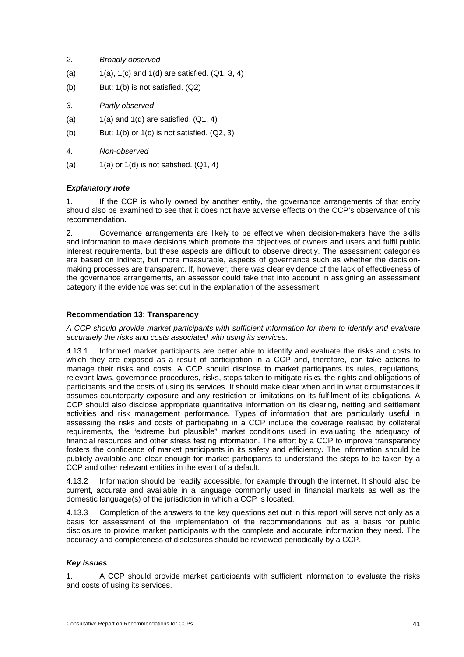- *2. Broadly observed*
- (a)  $1(a)$ , 1(c) and 1(d) are satisfied.  $(Q1, 3, 4)$
- (b) But: 1(b) is not satisfied. (Q2)
- *3. Partly observed*
- (a)  $1(a)$  and  $1(d)$  are satisfied.  $(Q1, 4)$
- (b) But:  $1(b)$  or  $1(c)$  is not satisfied.  $(Q2, 3)$
- *4. Non-observed*
- (a)  $1(a)$  or  $1(d)$  is not satisfied.  $(Q1, 4)$

# *Explanatory note*

1. If the CCP is wholly owned by another entity, the governance arrangements of that entity should also be examined to see that it does not have adverse effects on the CCP's observance of this recommendation.

2. Governance arrangements are likely to be effective when decision-makers have the skills and information to make decisions which promote the objectives of owners and users and fulfil public interest requirements, but these aspects are difficult to observe directly. The assessment categories are based on indirect, but more measurable, aspects of governance such as whether the decisionmaking processes are transparent. If, however, there was clear evidence of the lack of effectiveness of the governance arrangements, an assessor could take that into account in assigning an assessment category if the evidence was set out in the explanation of the assessment.

#### **Recommendation 13: Transparency**

*A CCP should provide market participants with sufficient information for them to identify and evaluate accurately the risks and costs associated with using its services.* 

4.13.1 Informed market participants are better able to identify and evaluate the risks and costs to which they are exposed as a result of participation in a CCP and, therefore, can take actions to manage their risks and costs. A CCP should disclose to market participants its rules, regulations, relevant laws, governance procedures, risks, steps taken to mitigate risks, the rights and obligations of participants and the costs of using its services. It should make clear when and in what circumstances it assumes counterparty exposure and any restriction or limitations on its fulfilment of its obligations. A CCP should also disclose appropriate quantitative information on its clearing, netting and settlement activities and risk management performance. Types of information that are particularly useful in assessing the risks and costs of participating in a CCP include the coverage realised by collateral requirements, the "extreme but plausible" market conditions used in evaluating the adequacy of financial resources and other stress testing information. The effort by a CCP to improve transparency fosters the confidence of market participants in its safety and efficiency. The information should be publicly available and clear enough for market participants to understand the steps to be taken by a CCP and other relevant entities in the event of a default.

4.13.2 Information should be readily accessible, for example through the internet. It should also be current, accurate and available in a language commonly used in financial markets as well as the domestic language(s) of the jurisdiction in which a CCP is located.

4.13.3 Completion of the answers to the key questions set out in this report will serve not only as a basis for assessment of the implementation of the recommendations but as a basis for public disclosure to provide market participants with the complete and accurate information they need. The accuracy and completeness of disclosures should be reviewed periodically by a CCP.

#### *Key issues*

1. A CCP should provide market participants with sufficient information to evaluate the risks and costs of using its services.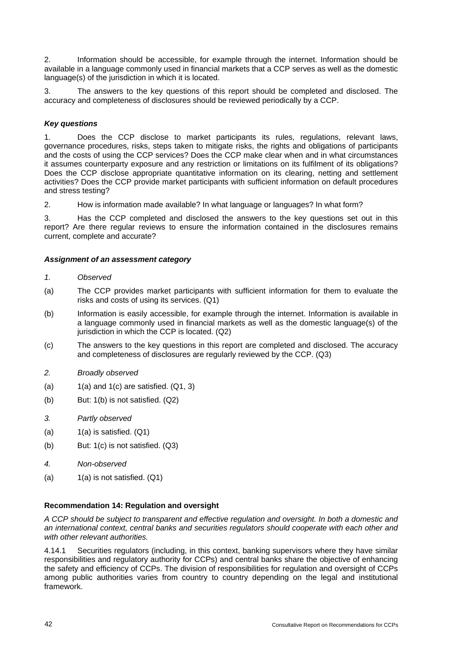2. Information should be accessible, for example through the internet. Information should be available in a language commonly used in financial markets that a CCP serves as well as the domestic language(s) of the jurisdiction in which it is located.

3. The answers to the key questions of this report should be completed and disclosed. The accuracy and completeness of disclosures should be reviewed periodically by a CCP.

#### *Key questions*

1. Does the CCP disclose to market participants its rules, regulations, relevant laws, governance procedures, risks, steps taken to mitigate risks, the rights and obligations of participants and the costs of using the CCP services? Does the CCP make clear when and in what circumstances it assumes counterparty exposure and any restriction or limitations on its fulfilment of its obligations? Does the CCP disclose appropriate quantitative information on its clearing, netting and settlement activities? Does the CCP provide market participants with sufficient information on default procedures and stress testing?

2. How is information made available? In what language or languages? In what form?

3. Has the CCP completed and disclosed the answers to the key questions set out in this report? Are there regular reviews to ensure the information contained in the disclosures remains current, complete and accurate?

# *Assignment of an assessment category*

- *1. Observed*
- (a) The CCP provides market participants with sufficient information for them to evaluate the risks and costs of using its services. (Q1)
- (b) Information is easily accessible, for example through the internet. Information is available in a language commonly used in financial markets as well as the domestic language(s) of the jurisdiction in which the CCP is located. (Q2)
- (c) The answers to the key questions in this report are completed and disclosed. The accuracy and completeness of disclosures are regularly reviewed by the CCP. (Q3)
- *2. Broadly observed*
- (a)  $1(a)$  and  $1(c)$  are satisfied.  $(Q1, 3)$
- (b) But: 1(b) is not satisfied. (Q2)
- *3. Partly observed*
- $(a)$  1(a) is satisfied.  $(Q1)$
- (b) But: 1(c) is not satisfied. (Q3)
- *4. Non-observed*
- (a)  $1(a)$  is not satisfied.  $(Q1)$

#### **Recommendation 14: Regulation and oversight**

*A CCP should be subject to transparent and effective regulation and oversight. In both a domestic and an international context, central banks and securities regulators should cooperate with each other and with other relevant authorities.* 

4.14.1 Securities regulators (including, in this context, banking supervisors where they have similar responsibilities and regulatory authority for CCPs) and central banks share the objective of enhancing the safety and efficiency of CCPs. The division of responsibilities for regulation and oversight of CCPs among public authorities varies from country to country depending on the legal and institutional framework.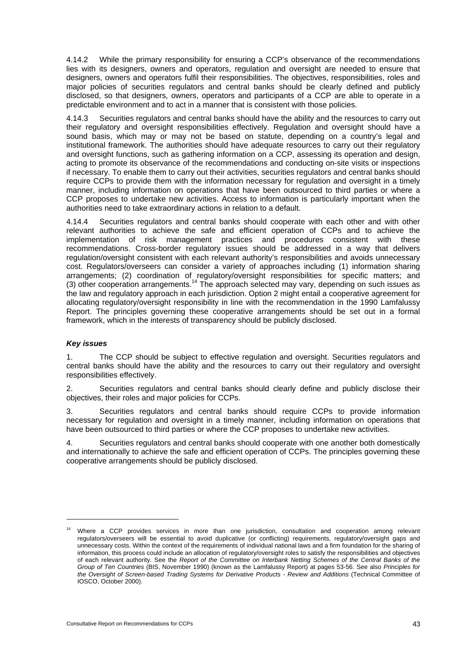4.14.2 While the primary responsibility for ensuring a CCP's observance of the recommendations lies with its designers, owners and operators, regulation and oversight are needed to ensure that designers, owners and operators fulfil their responsibilities. The objectives, responsibilities, roles and major policies of securities regulators and central banks should be clearly defined and publicly disclosed, so that designers, owners, operators and participants of a CCP are able to operate in a predictable environment and to act in a manner that is consistent with those policies.

4.14.3 Securities regulators and central banks should have the ability and the resources to carry out their regulatory and oversight responsibilities effectively. Regulation and oversight should have a sound basis, which may or may not be based on statute, depending on a country's legal and institutional framework. The authorities should have adequate resources to carry out their regulatory and oversight functions, such as gathering information on a CCP, assessing its operation and design, acting to promote its observance of the recommendations and conducting on-site visits or inspections if necessary. To enable them to carry out their activities, securities regulators and central banks should require CCPs to provide them with the information necessary for regulation and oversight in a timely manner, including information on operations that have been outsourced to third parties or where a CCP proposes to undertake new activities. Access to information is particularly important when the authorities need to take extraordinary actions in relation to a default.

4.14.4 Securities regulators and central banks should cooperate with each other and with other relevant authorities to achieve the safe and efficient operation of CCPs and to achieve the implementation of risk management practices and procedures consistent with these recommendations. Cross-border regulatory issues should be addressed in a way that delivers regulation/oversight consistent with each relevant authority's responsibilities and avoids unnecessary cost. Regulators/overseers can consider a variety of approaches including (1) information sharing arrangements; (2) coordination of regulatory/oversight responsibilities for specific matters; and (3) other cooperation arrangements.<sup>14</sup> The approach selected may vary, depending on such issues as the law and regulatory approach in each jurisdiction. Option 2 might entail a cooperative agreement for allocating regulatory/oversight responsibility in line with the recommendation in the 1990 Lamfalussy Report. The principles governing these cooperative arrangements should be set out in a formal framework, which in the interests of transparency should be publicly disclosed.

#### *Key issues*

l

1. The CCP should be subject to effective regulation and oversight. Securities regulators and central banks should have the ability and the resources to carry out their regulatory and oversight responsibilities effectively.

2. Securities regulators and central banks should clearly define and publicly disclose their objectives, their roles and major policies for CCPs.

3. Securities regulators and central banks should require CCPs to provide information necessary for regulation and oversight in a timely manner, including information on operations that have been outsourced to third parties or where the CCP proposes to undertake new activities.

4. Securities regulators and central banks should cooperate with one another both domestically and internationally to achieve the safe and efficient operation of CCPs. The principles governing these cooperative arrangements should be publicly disclosed.

<sup>&</sup>lt;sup>14</sup> Where a CCP provides services in more than one jurisdiction, consultation and cooperation among relevant regulators/overseers will be essential to avoid duplicative (or conflicting) requirements, regulatory/oversight gaps and unnecessary costs. Within the context of the requirements of individual national laws and a firm foundation for the sharing of information, this process could include an allocation of regulatory/oversight roles to satisfy the responsibilities and objectives of each relevant authority. See the *Report of the Committee on Interbank Netting Schemes of the Central Banks of the Group of Ten Countries* (BIS, November 1990) (known as the Lamfalussy Report) at pages 53-56. See also *Principles for the Oversight of Screen-based Trading Systems for Derivative Products - Review and Additions* (Technical Committee of IOSCO, October 2000).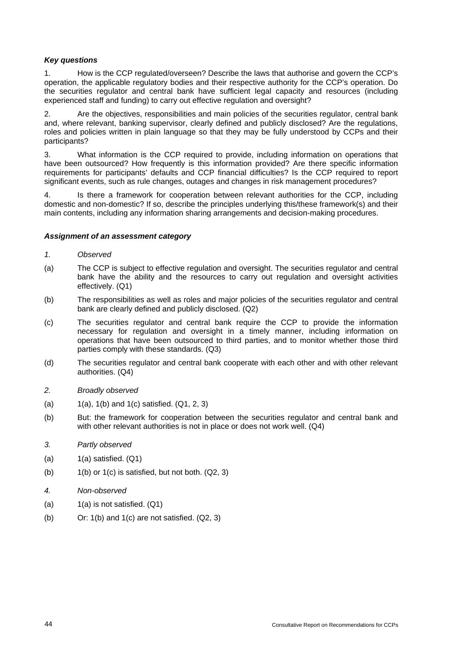## *Key questions*

1. How is the CCP regulated/overseen? Describe the laws that authorise and govern the CCP's operation, the applicable regulatory bodies and their respective authority for the CCP's operation. Do the securities regulator and central bank have sufficient legal capacity and resources (including experienced staff and funding) to carry out effective regulation and oversight?

2. Are the objectives, responsibilities and main policies of the securities regulator, central bank and, where relevant, banking supervisor, clearly defined and publicly disclosed? Are the regulations, roles and policies written in plain language so that they may be fully understood by CCPs and their participants?

3. What information is the CCP required to provide, including information on operations that have been outsourced? How frequently is this information provided? Are there specific information requirements for participants' defaults and CCP financial difficulties? Is the CCP required to report significant events, such as rule changes, outages and changes in risk management procedures?

4. Is there a framework for cooperation between relevant authorities for the CCP, including domestic and non-domestic? If so, describe the principles underlying this/these framework(s) and their main contents, including any information sharing arrangements and decision-making procedures.

#### *Assignment of an assessment category*

- *1. Observed*
- (a) The CCP is subject to effective regulation and oversight. The securities regulator and central bank have the ability and the resources to carry out regulation and oversight activities effectively. (Q1)
- (b) The responsibilities as well as roles and major policies of the securities regulator and central bank are clearly defined and publicly disclosed. (Q2)
- (c) The securities regulator and central bank require the CCP to provide the information necessary for regulation and oversight in a timely manner, including information on operations that have been outsourced to third parties, and to monitor whether those third parties comply with these standards. (Q3)
- (d) The securities regulator and central bank cooperate with each other and with other relevant authorities. (Q4)
- *2. Broadly observed*
- (a)  $1(a)$ , 1(b) and 1(c) satisfied.  $(Q1, 2, 3)$
- (b) But: the framework for cooperation between the securities regulator and central bank and with other relevant authorities is not in place or does not work well. (Q4)
- *3. Partly observed*
- $(a)$  1(a) satisfied.  $(Q1)$
- (b)  $1(b)$  or  $1(c)$  is satisfied, but not both.  $(Q2, 3)$
- *4. Non-observed*
- $(a)$  1(a) is not satisfied.  $(Q1)$
- (b) Or:  $1(b)$  and  $1(c)$  are not satisfied.  $(Q2, 3)$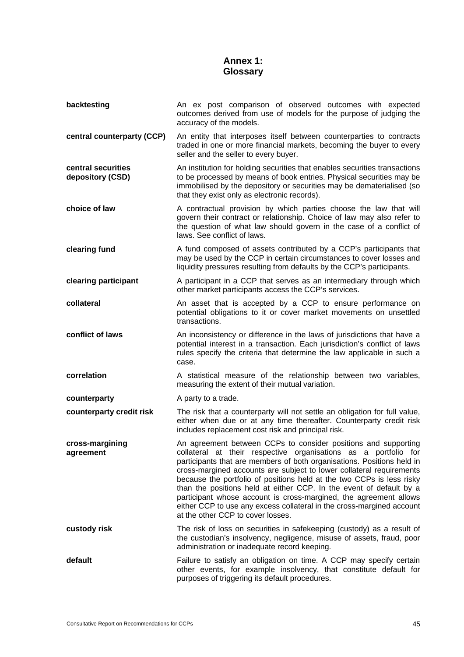# **Annex 1: Glossary**

| backtesting                            | An ex post comparison of observed outcomes with expected<br>outcomes derived from use of models for the purpose of judging the<br>accuracy of the models.                                                                                                                                                                                                                                                                                                                                                                                                                                                              |
|----------------------------------------|------------------------------------------------------------------------------------------------------------------------------------------------------------------------------------------------------------------------------------------------------------------------------------------------------------------------------------------------------------------------------------------------------------------------------------------------------------------------------------------------------------------------------------------------------------------------------------------------------------------------|
| central counterparty (CCP)             | An entity that interposes itself between counterparties to contracts<br>traded in one or more financial markets, becoming the buyer to every<br>seller and the seller to every buyer.                                                                                                                                                                                                                                                                                                                                                                                                                                  |
| central securities<br>depository (CSD) | An institution for holding securities that enables securities transactions<br>to be processed by means of book entries. Physical securities may be<br>immobilised by the depository or securities may be dematerialised (so<br>that they exist only as electronic records).                                                                                                                                                                                                                                                                                                                                            |
| choice of law                          | A contractual provision by which parties choose the law that will<br>govern their contract or relationship. Choice of law may also refer to<br>the question of what law should govern in the case of a conflict of<br>laws. See conflict of laws.                                                                                                                                                                                                                                                                                                                                                                      |
| clearing fund                          | A fund composed of assets contributed by a CCP's participants that<br>may be used by the CCP in certain circumstances to cover losses and<br>liquidity pressures resulting from defaults by the CCP's participants.                                                                                                                                                                                                                                                                                                                                                                                                    |
| clearing participant                   | A participant in a CCP that serves as an intermediary through which<br>other market participants access the CCP's services.                                                                                                                                                                                                                                                                                                                                                                                                                                                                                            |
| collateral                             | An asset that is accepted by a CCP to ensure performance on<br>potential obligations to it or cover market movements on unsettled<br>transactions.                                                                                                                                                                                                                                                                                                                                                                                                                                                                     |
| conflict of laws                       | An inconsistency or difference in the laws of jurisdictions that have a<br>potential interest in a transaction. Each jurisdiction's conflict of laws<br>rules specify the criteria that determine the law applicable in such a<br>case.                                                                                                                                                                                                                                                                                                                                                                                |
| correlation                            | A statistical measure of the relationship between two variables,<br>measuring the extent of their mutual variation.                                                                                                                                                                                                                                                                                                                                                                                                                                                                                                    |
| counterparty                           | A party to a trade.                                                                                                                                                                                                                                                                                                                                                                                                                                                                                                                                                                                                    |
| counterparty credit risk               | The risk that a counterparty will not settle an obligation for full value,<br>either when due or at any time thereafter. Counterparty credit risk<br>includes replacement cost risk and principal risk.                                                                                                                                                                                                                                                                                                                                                                                                                |
| cross-margining<br>agreement           | An agreement between CCPs to consider positions and supporting<br>collateral at their respective organisations as a portfolio for<br>participants that are members of both organisations. Positions held in<br>cross-margined accounts are subject to lower collateral requirements<br>because the portfolio of positions held at the two CCPs is less risky<br>than the positions held at either CCP. In the event of default by a<br>participant whose account is cross-margined, the agreement allows<br>either CCP to use any excess collateral in the cross-margined account<br>at the other CCP to cover losses. |
| custody risk                           | The risk of loss on securities in safekeeping (custody) as a result of<br>the custodian's insolvency, negligence, misuse of assets, fraud, poor<br>administration or inadequate record keeping.                                                                                                                                                                                                                                                                                                                                                                                                                        |
| default                                | Failure to satisfy an obligation on time. A CCP may specify certain<br>other events, for example insolvency, that constitute default for<br>purposes of triggering its default procedures.                                                                                                                                                                                                                                                                                                                                                                                                                             |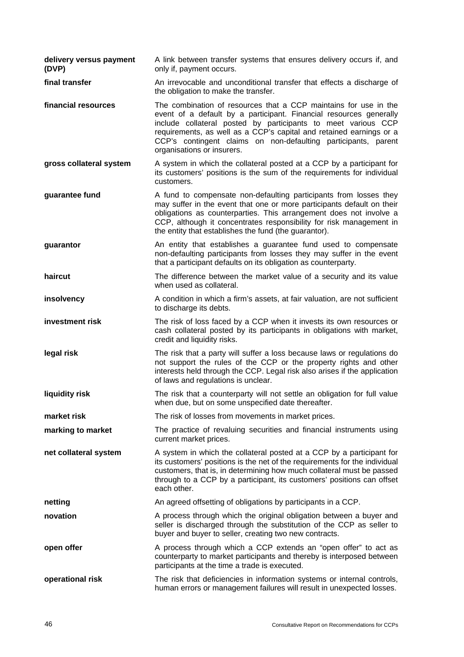**delivery versus payment (DVP)**  A link between transfer systems that ensures delivery occurs if, and only if, payment occurs.

**final transfer An irrevocable and unconditional transfer that effects a discharge of** the obligation to make the transfer.

**financial resources** The combination of resources that a CCP maintains for use in the event of a default by a participant. Financial resources generally include collateral posted by participants to meet various CCP requirements, as well as a CCP's capital and retained earnings or a CCP's contingent claims on non-defaulting participants, parent organisations or insurers.

**gross collateral system** A system in which the collateral posted at a CCP by a participant for its customers' positions is the sum of the requirements for individual customers.

**guarantee fund A** fund to compensate non-defaulting participants from losses they may suffer in the event that one or more participants default on their obligations as counterparties. This arrangement does not involve a CCP, although it concentrates responsibility for risk management in the entity that establishes the fund (the guarantor).

**guarantor An entity that establishes a quarantee fund used to compensate** non-defaulting participants from losses they may suffer in the event that a participant defaults on its obligation as counterparty.

**haircut** The difference between the market value of a security and its value when used as collateral.

**insolvency** A condition in which a firm's assets, at fair valuation, are not sufficient to discharge its debts.

**investment risk** The risk of loss faced by a CCP when it invests its own resources or cash collateral posted by its participants in obligations with market, credit and liquidity risks.

**legal risk** The risk that a party will suffer a loss because laws or regulations do not support the rules of the CCP or the property rights and other interests held through the CCP. Legal risk also arises if the application of laws and regulations is unclear.

**liquidity risk The risk that a counterparty will not settle an obligation for full value** when due, but on some unspecified date thereafter.

**market risk** The risk of losses from movements in market prices.

**marking to market** The practice of revaluing securities and financial instruments using current market prices.

**net collateral system** A system in which the collateral posted at a CCP by a participant for its customers' positions is the net of the requirements for the individual customers, that is, in determining how much collateral must be passed through to a CCP by a participant, its customers' positions can offset each other.

**netting An agreed offsetting of obligations by participants in a CCP.** 

**novation A** process through which the original obligation between a buyer and seller is discharged through the substitution of the CCP as seller to buyer and buyer to seller, creating two new contracts.

**open offer A** process through which a CCP extends an "open offer" to act as counterparty to market participants and thereby is interposed between participants at the time a trade is executed.

**operational risk** The risk that deficiencies in information systems or internal controls, human errors or management failures will result in unexpected losses.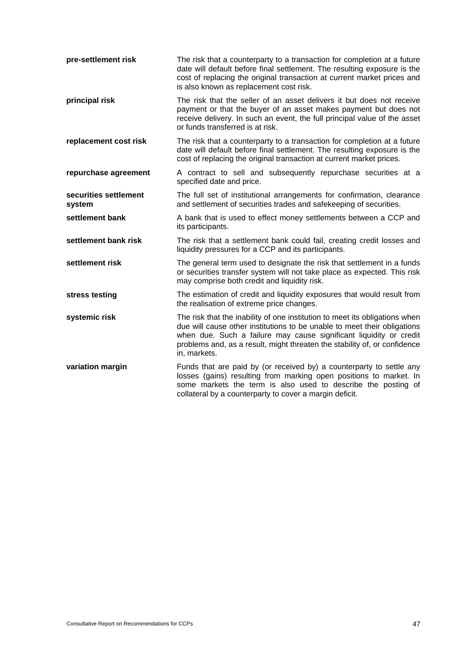| pre-settlement risk             | The risk that a counterparty to a transaction for completion at a future<br>date will default before final settlement. The resulting exposure is the<br>cost of replacing the original transaction at current market prices and<br>is also known as replacement cost risk.                                                 |
|---------------------------------|----------------------------------------------------------------------------------------------------------------------------------------------------------------------------------------------------------------------------------------------------------------------------------------------------------------------------|
| principal risk                  | The risk that the seller of an asset delivers it but does not receive<br>payment or that the buyer of an asset makes payment but does not<br>receive delivery. In such an event, the full principal value of the asset<br>or funds transferred is at risk.                                                                 |
| replacement cost risk           | The risk that a counterparty to a transaction for completion at a future<br>date will default before final settlement. The resulting exposure is the<br>cost of replacing the original transaction at current market prices.                                                                                               |
| repurchase agreement            | A contract to sell and subsequently repurchase securities at a<br>specified date and price.                                                                                                                                                                                                                                |
| securities settlement<br>system | The full set of institutional arrangements for confirmation, clearance<br>and settlement of securities trades and safekeeping of securities.                                                                                                                                                                               |
| settlement bank                 | A bank that is used to effect money settlements between a CCP and<br>its participants.                                                                                                                                                                                                                                     |
| settlement bank risk            | The risk that a settlement bank could fail, creating credit losses and<br>liquidity pressures for a CCP and its participants.                                                                                                                                                                                              |
| settlement risk                 | The general term used to designate the risk that settlement in a funds<br>or securities transfer system will not take place as expected. This risk<br>may comprise both credit and liquidity risk.                                                                                                                         |
| stress testing                  | The estimation of credit and liquidity exposures that would result from<br>the realisation of extreme price changes.                                                                                                                                                                                                       |
| systemic risk                   | The risk that the inability of one institution to meet its obligations when<br>due will cause other institutions to be unable to meet their obligations<br>when due. Such a failure may cause significant liquidity or credit<br>problems and, as a result, might threaten the stability of, or confidence<br>in, markets. |
| variation margin                | Funds that are paid by (or received by) a counterparty to settle any<br>losses (gains) resulting from marking open positions to market. In<br>some markets the term is also used to describe the posting of<br>collateral by a counterparty to cover a margin deficit.                                                     |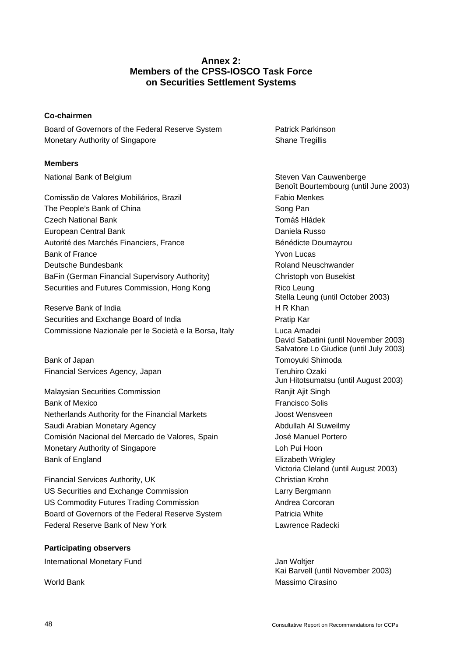# **Annex 2: Members of the CPSS-IOSCO Task Force on Securities Settlement Systems**

# **Co-chairmen**

Board of Governors of the Federal Reserve System **Patrick Parkinson** Monetary Authority of Singapore Shane Tregillis

#### **Members**

Comissão de Valores Mobiliários, Brazil **Fabio Menkes** Fabio Menkes The People's Bank of China Song Pan Czech National Bank Tomáš Hládek European Central Bank **Daniela Russo Daniela Russo** Autorité des Marchés Financiers, France **Bénédicte** Doumayrou Bank of France **Yvon Lucas** Deutsche Bundesbank Roland Neuschwander BaFin (German Financial Supervisory Authority) Christoph von Busekist Securities and Futures Commission, Hong Kong **Rico Leung** Rico Leung

Reserve Bank of India **H R Khan** Securities and Exchange Board of India **Pratic Law Research Pratip Kar** Commissione Nazionale per le Società e la Borsa, Italy Luca Amadei

Bank of Japan Tomoyuki Shimoda Financial Services Agency, Japan Teruhiro Ozaki

Malaysian Securities Commission **Ranjit Alit Singh** Ranjit Ajit Singh Bank of Mexico **Francisco** Solis Netherlands Authority for the Financial Markets Joost Wensveen Saudi Arabian Monetary Agency **Abdullah Al Suweilmy** Comisión Nacional del Mercado de Valores, Spain José Manuel Portero Monetary Authority of Singapore **Loh Pui Hoon** Bank of England **Elizabeth Wrigley** 

Financial Services Authority, UK Christian Krohn US Securities and Exchange Commission **Larry Bergmann** US Commodity Futures Trading Commission **Andrea Corcoran** Board of Governors of the Federal Reserve System Patricia White Federal Reserve Bank of New York **Lawrence Radecki** Lawrence Radecki

#### **Participating observers**

International Monetary Fund **International Monetary Fund** 

National Bank of Belgium Steven Van Cauwenberge Steven Van Cauwenberge Benoît Bourtembourg (until June 2003) Stella Leung (until October 2003) David Sabatini (until November 2003) Salvatore Lo Giudice (until July 2003) Jun Hitotsumatsu (until August 2003) Victoria Cleland (until August 2003)

 Kai Barvell (until November 2003) World Bank Massimo Cirasino